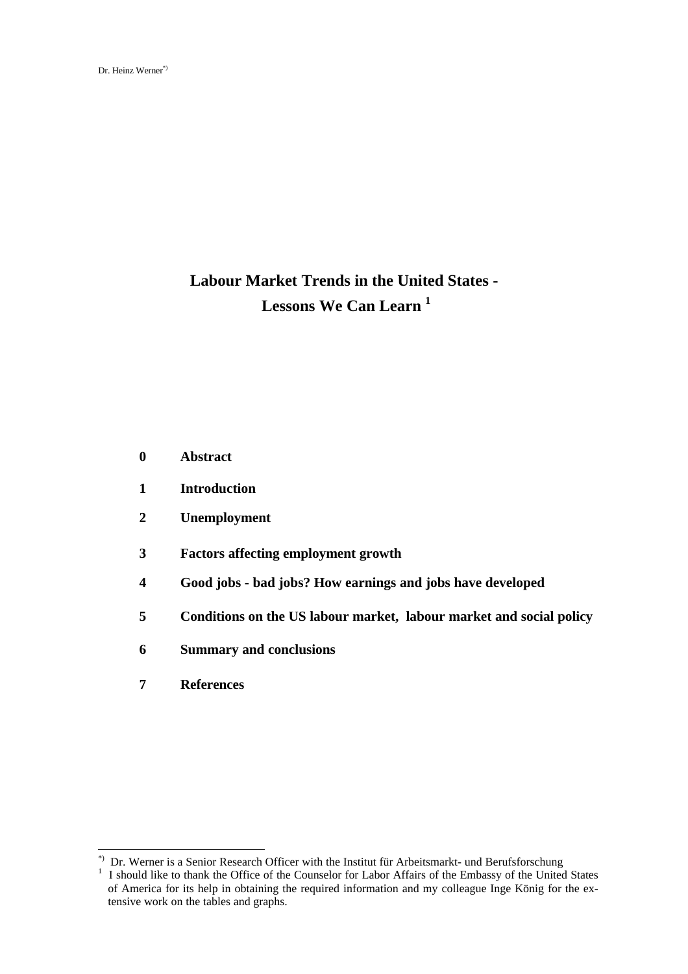# **Labour Market Trends in the United States - Lessons We Can Learn <sup>1</sup>**

- **0 Abstract**
- **1 Introduction**
- **2 Unemployment**
- **3 Factors affecting employment growth**
- **4 Good jobs bad jobs? How earnings and jobs have developed**
- **5 Conditions on the US labour market, labour market and social policy**
- **6 Summary and conclusions**
- **7 References**

<sup>\*)</sup> Dr. Werner is a Senior Research Officer with the Institut für Arbeitsmarkt- und Berufsforschung

<sup>1</sup> I should like to thank the Office of the Counselor for Labor Affairs of the Embassy of the United States of America for its help in obtaining the required information and my colleague Inge König for the extensive work on the tables and graphs.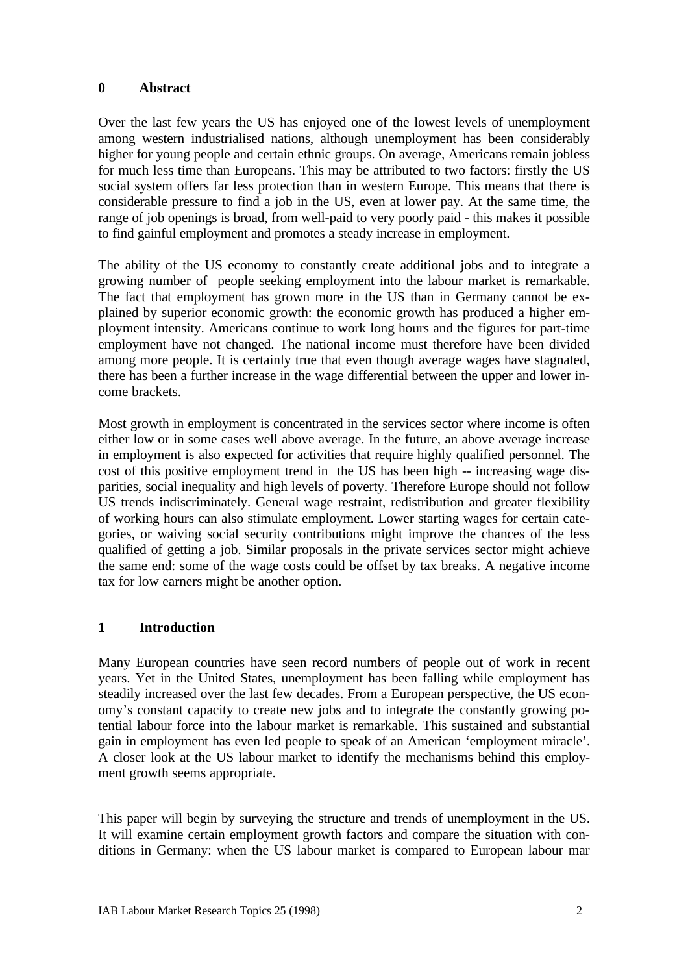#### **0 Abstract**

Over the last few years the US has enjoyed one of the lowest levels of unemployment among western industrialised nations, although unemployment has been considerably higher for young people and certain ethnic groups. On average, Americans remain jobless for much less time than Europeans. This may be attributed to two factors: firstly the US social system offers far less protection than in western Europe. This means that there is considerable pressure to find a job in the US, even at lower pay. At the same time, the range of job openings is broad, from well-paid to very poorly paid - this makes it possible to find gainful employment and promotes a steady increase in employment.

The ability of the US economy to constantly create additional jobs and to integrate a growing number of people seeking employment into the labour market is remarkable. The fact that employment has grown more in the US than in Germany cannot be explained by superior economic growth: the economic growth has produced a higher employment intensity. Americans continue to work long hours and the figures for part-time employment have not changed. The national income must therefore have been divided among more people. It is certainly true that even though average wages have stagnated, there has been a further increase in the wage differential between the upper and lower income brackets.

Most growth in employment is concentrated in the services sector where income is often either low or in some cases well above average. In the future, an above average increase in employment is also expected for activities that require highly qualified personnel. The cost of this positive employment trend in the US has been high -- increasing wage disparities, social inequality and high levels of poverty. Therefore Europe should not follow US trends indiscriminately. General wage restraint, redistribution and greater flexibility of working hours can also stimulate employment. Lower starting wages for certain categories, or waiving social security contributions might improve the chances of the less qualified of getting a job. Similar proposals in the private services sector might achieve the same end: some of the wage costs could be offset by tax breaks. A negative income tax for low earners might be another option.

## **1 Introduction**

Many European countries have seen record numbers of people out of work in recent years. Yet in the United States, unemployment has been falling while employment has steadily increased over the last few decades. From a European perspective, the US economy's constant capacity to create new jobs and to integrate the constantly growing potential labour force into the labour market is remarkable. This sustained and substantial gain in employment has even led people to speak of an American 'employment miracle'. A closer look at the US labour market to identify the mechanisms behind this employment growth seems appropriate.

This paper will begin by surveying the structure and trends of unemployment in the US. It will examine certain employment growth factors and compare the situation with conditions in Germany: when the US labour market is compared to European labour mar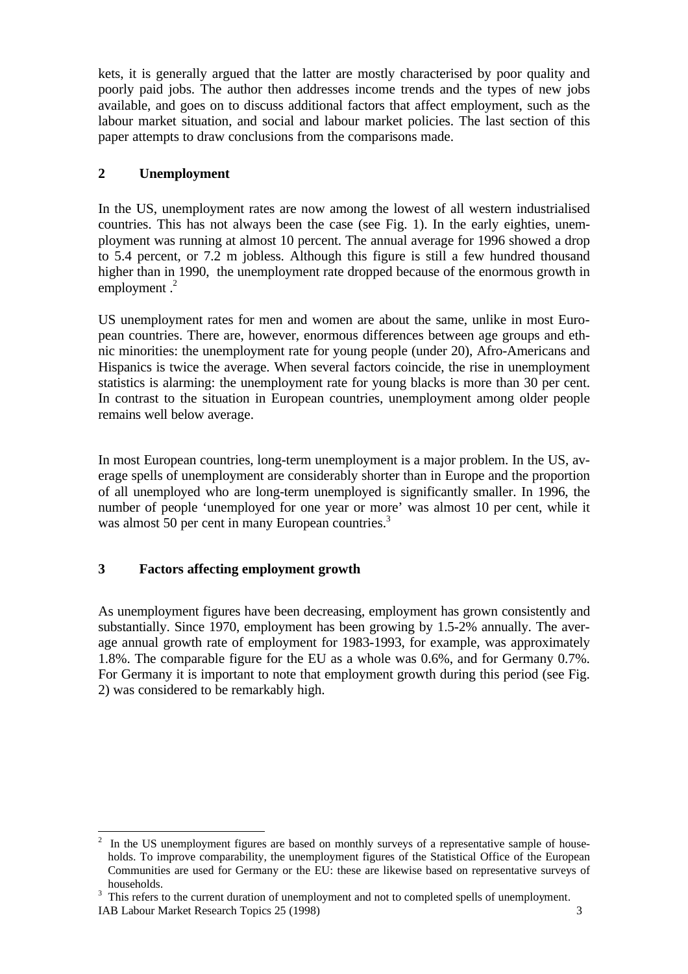kets, it is generally argued that the latter are mostly characterised by poor quality and poorly paid jobs. The author then addresses income trends and the types of new jobs available, and goes on to discuss additional factors that affect employment, such as the labour market situation, and social and labour market policies. The last section of this paper attempts to draw conclusions from the comparisons made.

## **2 Unemployment**

In the US, unemployment rates are now among the lowest of all western industrialised countries. This has not always been the case (see Fig. 1). In the early eighties, unemployment was running at almost 10 percent. The annual average for 1996 showed a drop to 5.4 percent, or 7.2 m jobless. Although this figure is still a few hundred thousand higher than in 1990, the unemployment rate dropped because of the enormous growth in employment  $<sup>2</sup>$ </sup>

US unemployment rates for men and women are about the same, unlike in most European countries. There are, however, enormous differences between age groups and ethnic minorities: the unemployment rate for young people (under 20), Afro-Americans and Hispanics is twice the average. When several factors coincide, the rise in unemployment statistics is alarming: the unemployment rate for young blacks is more than 30 per cent. In contrast to the situation in European countries, unemployment among older people remains well below average.

In most European countries, long-term unemployment is a major problem. In the US, average spells of unemployment are considerably shorter than in Europe and the proportion of all unemployed who are long-term unemployed is significantly smaller. In 1996, the number of people 'unemployed for one year or more' was almost 10 per cent, while it was almost 50 per cent in many European countries.<sup>3</sup>

# **3 Factors affecting employment growth**

As unemployment figures have been decreasing, employment has grown consistently and substantially. Since 1970, employment has been growing by 1.5-2% annually. The average annual growth rate of employment for 1983-1993, for example, was approximately 1.8%. The comparable figure for the EU as a whole was 0.6%, and for Germany 0.7%. For Germany it is important to note that employment growth during this period (see Fig. 2) was considered to be remarkably high.

<sup>&</sup>lt;sup>2</sup> In the US unemployment figures are based on monthly surveys of a representative sample of households. To improve comparability, the unemployment figures of the Statistical Office of the European Communities are used for Germany or the EU: these are likewise based on representative surveys of households.

 $3$  This refers to the current duration of unemployment and not to completed spells of unemployment.

IAB Labour Market Research Topics 25 (1998) 3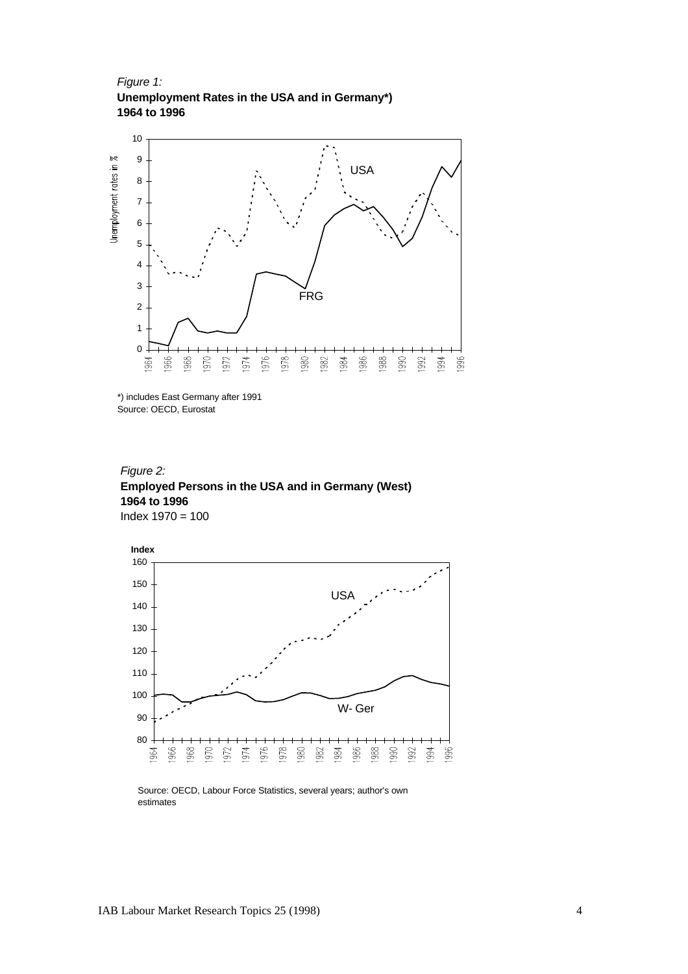*Figure 1:*  **Unemployment Rates in the USA and in Germany\*) 1964 to 1996**



<sup>\*)</sup> includes East Germany after 1991 Source: OECD, Eurostat





Source: OECD, Labour Force Statistics, several years; author's own estimates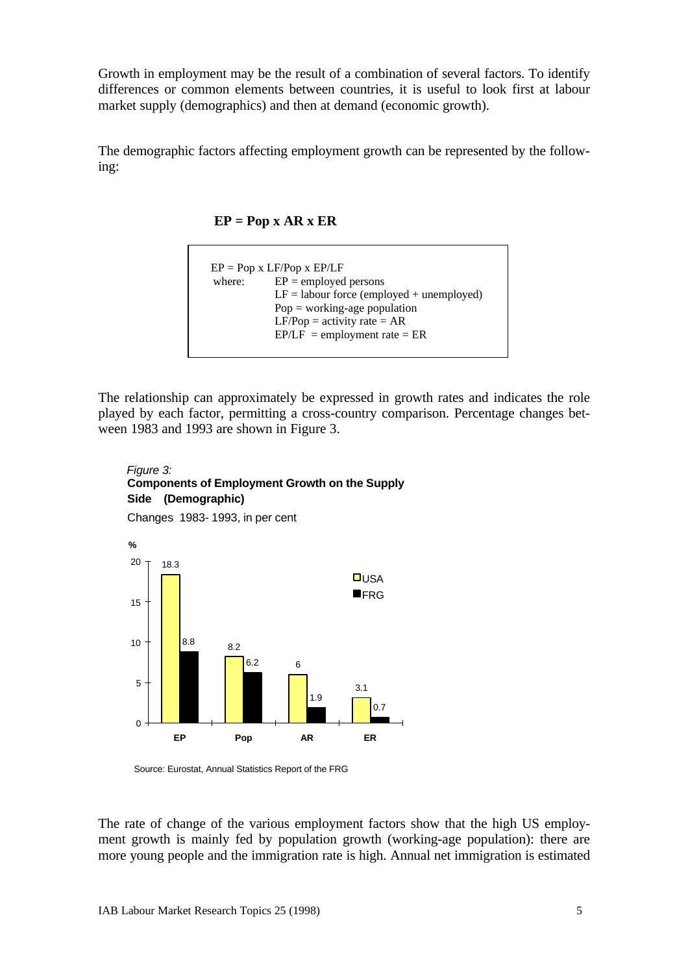Growth in employment may be the result of a combination of several factors. To identify differences or common elements between countries, it is useful to look first at labour market supply (demographics) and then at demand (economic growth).

The demographic factors affecting employment growth can be represented by the following:



```
EP = Pop x LF/Pop x EP/LFwhere: EP = \text{employed persons}LF = labour force (employed + unemployed)
Pop = working\text{-}age populationLF/Pop = activity rate = AREPILF = employment rate = ER
```
The relationship can approximately be expressed in growth rates and indicates the role played by each factor, permitting a cross-country comparison. Percentage changes between 1983 and 1993 are shown in Figure 3.



Changes 1983- 1993, in per cent



Source: Eurostat, Annual Statistics Report of the FRG

The rate of change of the various employment factors show that the high US employment growth is mainly fed by population growth (working-age population): there are more young people and the immigration rate is high. Annual net immigration is estimated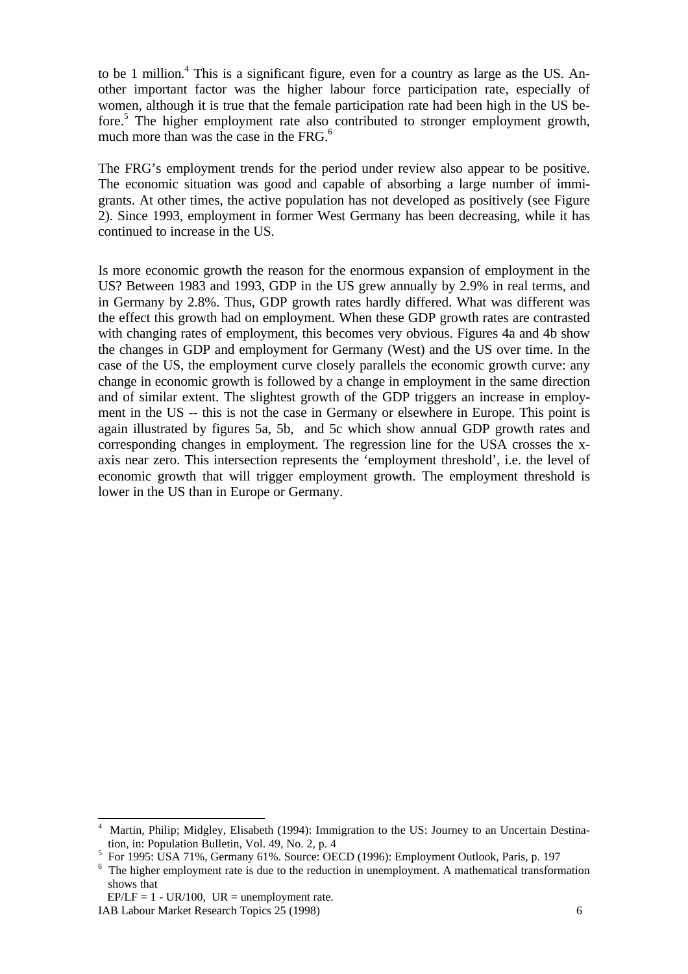to be 1 million.<sup>4</sup> This is a significant figure, even for a country as large as the US. Another important factor was the higher labour force participation rate, especially of women, although it is true that the female participation rate had been high in the US before.<sup>5</sup> The higher employment rate also contributed to stronger employment growth, much more than was the case in the  $FRG<sub>0</sub><sup>6</sup>$ 

The FRG's employment trends for the period under review also appear to be positive. The economic situation was good and capable of absorbing a large number of immigrants. At other times, the active population has not developed as positively (see Figure 2). Since 1993, employment in former West Germany has been decreasing, while it has continued to increase in the US.

Is more economic growth the reason for the enormous expansion of employment in the US? Between 1983 and 1993, GDP in the US grew annually by 2.9% in real terms, and in Germany by 2.8%. Thus, GDP growth rates hardly differed. What was different was the effect this growth had on employment. When these GDP growth rates are contrasted with changing rates of employment, this becomes very obvious. Figures 4a and 4b show the changes in GDP and employment for Germany (West) and the US over time. In the case of the US, the employment curve closely parallels the economic growth curve: any change in economic growth is followed by a change in employment in the same direction and of similar extent. The slightest growth of the GDP triggers an increase in employment in the US -- this is not the case in Germany or elsewhere in Europe. This point is again illustrated by figures 5a, 5b, and 5c which show annual GDP growth rates and corresponding changes in employment. The regression line for the USA crosses the xaxis near zero. This intersection represents the 'employment threshold', i.e. the level of economic growth that will trigger employment growth. The employment threshold is lower in the US than in Europe or Germany.

IAB Labour Market Research Topics 25 (1998) 6  $EP/LF = 1 - UR/100$ ,  $UR =$  unemployment rate.

<sup>-</sup>4 Martin, Philip; Midgley, Elisabeth (1994): Immigration to the US: Journey to an Uncertain Destination, in: Population Bulletin, Vol. 49, No. 2, p. 4

<sup>5</sup> For 1995: USA 71%, Germany 61%. Source: OECD (1996): Employment Outlook, Paris, p. 197

<sup>&</sup>lt;sup>6</sup> The higher employment rate is due to the reduction in unemployment. A mathematical transformation shows that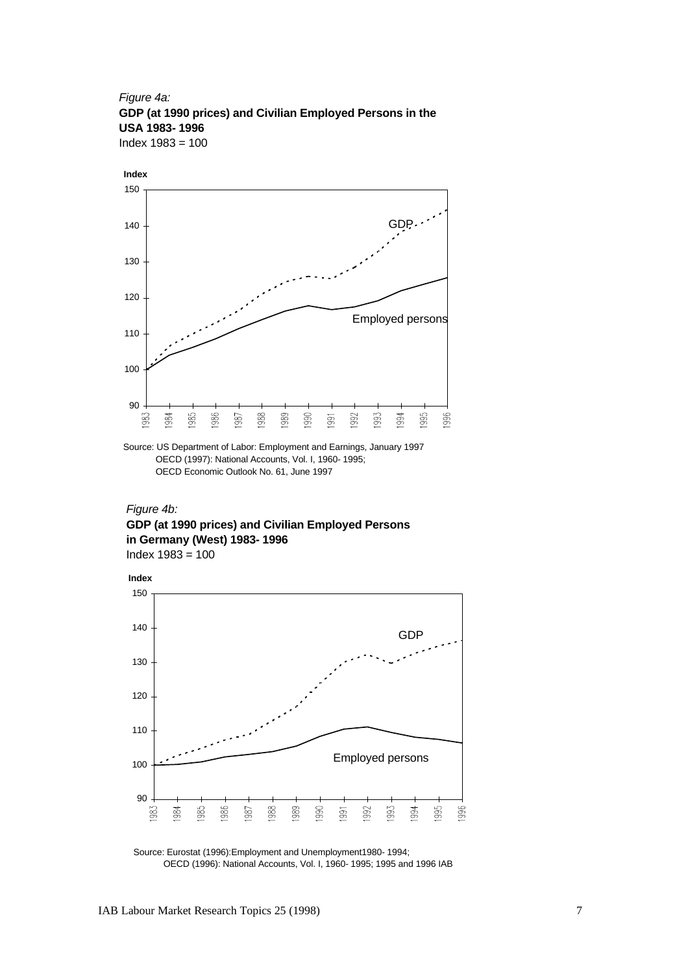*Figure 4a:*  **GDP (at 1990 prices) and Civilian Employed Persons in the USA 1983- 1996**  Index 1983 = 100



Source: US Department of Labor: Employment and Earnings, January 1997 OECD (1997): National Accounts, Vol. I, 1960- 1995; OECD Economic Outlook No. 61, June 1997

*Figure 4b:*  **GDP (at 1990 prices) and Civilian Employed Persons in Germany (West) 1983- 1996**  Index 1983 = 100



Source: Eurostat (1996):Employment and Unemployment1980- 1994; OECD (1996): National Accounts, Vol. I, 1960- 1995; 1995 and 1996 IAB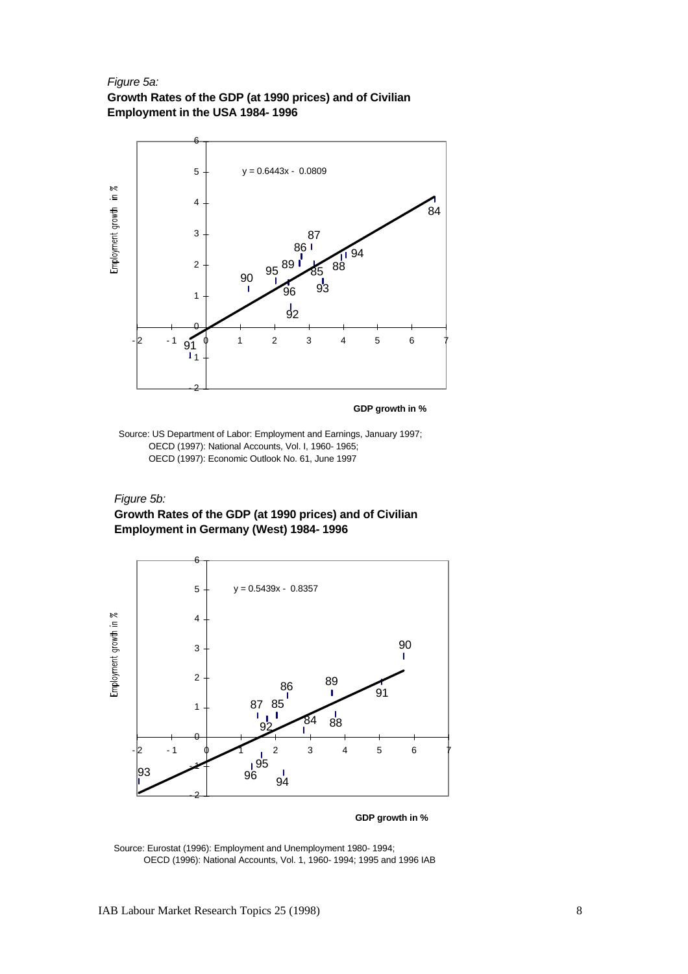#### *Figure 5a:*

**Growth Rates of the GDP (at 1990 prices) and of Civilian Employment in the USA 1984- 1996** 



**GDP growth in %**

Source: US Department of Labor: Employment and Earnings, January 1997; OECD (1997): National Accounts, Vol. I, 1960- 1965; OECD (1997): Economic Outlook No. 61, June 1997

#### *Figure 5b:*

#### **Growth Rates of the GDP (at 1990 prices) and of Civilian Employment in Germany (West) 1984- 1996**



**GDP growth in %**

Source: Eurostat (1996): Employment and Unemployment 1980- 1994; OECD (1996): National Accounts, Vol. 1, 1960- 1994; 1995 and 1996 IAB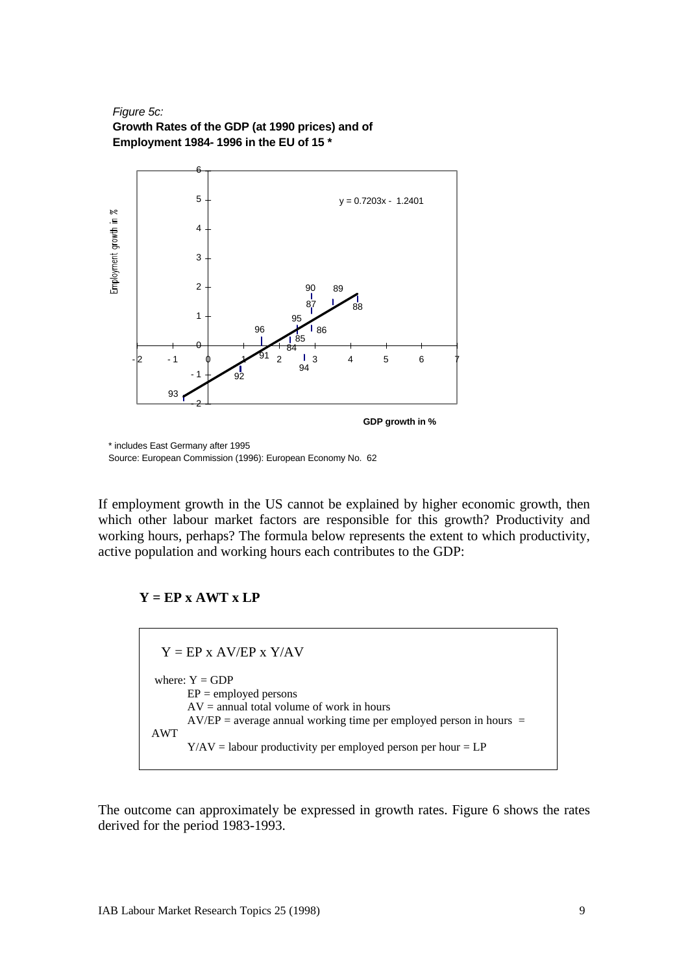#### *Figure 5c:* **Growth Rates of the GDP (at 1990 prices) and of Employment 1984- 1996 in the EU of 15 \***



\* includes East Germany after 1995 Source: European Commission (1996): European Economy No. 62

If employment growth in the US cannot be explained by higher economic growth, then which other labour market factors are responsible for this growth? Productivity and working hours, perhaps? The formula below represents the extent to which productivity, active population and working hours each contributes to the GDP:

# $Y = EP \times AWT \times LP$

 $Y = EP \times AV/EP \times Y/AV$ where:  $Y = GDP$  $EP =$  employed persons  $AV =$  annual total volume of work in hours  $AV/EP = average$  annual working time per employed person in hours = AWT  $Y/AV =$  labour productivity per employed person per hour =  $LP$ 

The outcome can approximately be expressed in growth rates. Figure 6 shows the rates derived for the period 1983-1993.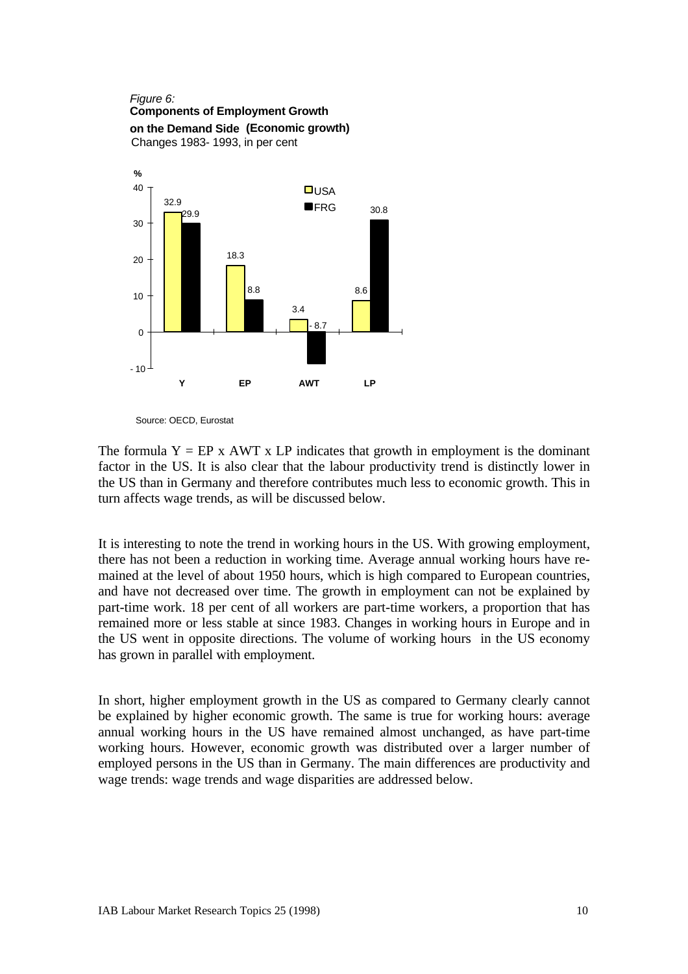#### *Figure 6:* **Components of Employment Growth on the Demand Side (Economic growth)** Changes 1983- 1993, in per cent 32.9 18.3 3.4 8.6 29.9 8.8 30.8 - 8.7  $-10$ 0 10 20 30 40 **Y EP AWT LP %**  $\n <sup>D</sup>USA$ **OFRG**

Source: OECD, Eurostat

The formula  $Y = EP \times AWT \times LP$  indicates that growth in employment is the dominant factor in the US. It is also clear that the labour productivity trend is distinctly lower in the US than in Germany and therefore contributes much less to economic growth. This in turn affects wage trends, as will be discussed below.

It is interesting to note the trend in working hours in the US. With growing employment, there has not been a reduction in working time. Average annual working hours have remained at the level of about 1950 hours, which is high compared to European countries, and have not decreased over time. The growth in employment can not be explained by part-time work. 18 per cent of all workers are part-time workers, a proportion that has remained more or less stable at since 1983. Changes in working hours in Europe and in the US went in opposite directions. The volume of working hours in the US economy has grown in parallel with employment.

In short, higher employment growth in the US as compared to Germany clearly cannot be explained by higher economic growth. The same is true for working hours: average annual working hours in the US have remained almost unchanged, as have part-time working hours. However, economic growth was distributed over a larger number of employed persons in the US than in Germany. The main differences are productivity and wage trends: wage trends and wage disparities are addressed below.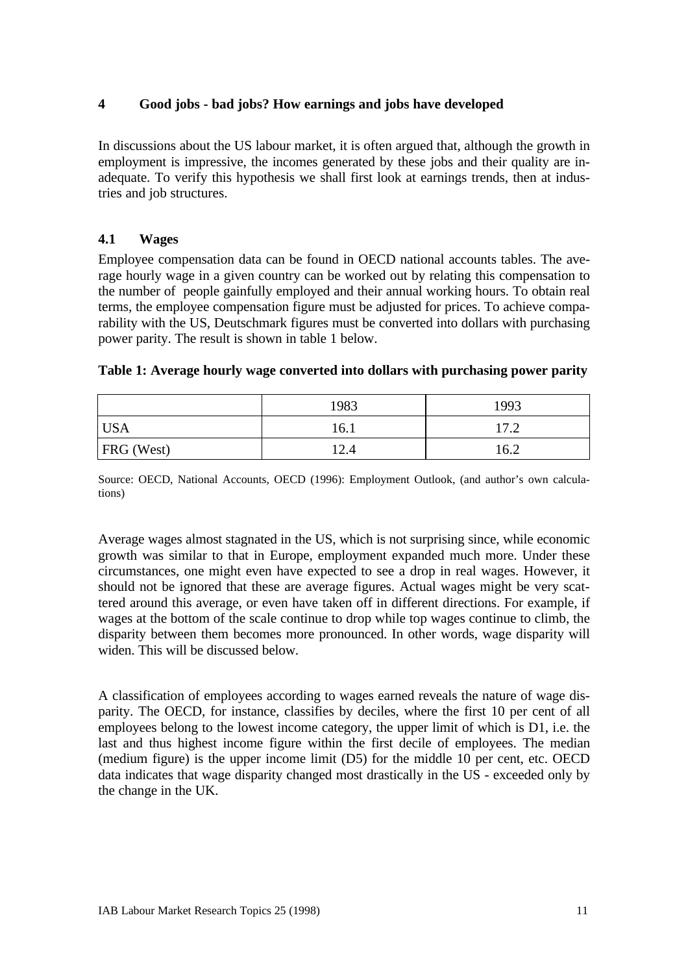## **4 Good jobs - bad jobs? How earnings and jobs have developed**

In discussions about the US labour market, it is often argued that, although the growth in employment is impressive, the incomes generated by these jobs and their quality are inadequate. To verify this hypothesis we shall first look at earnings trends, then at industries and job structures.

### **4.1 Wages**

Employee compensation data can be found in OECD national accounts tables. The average hourly wage in a given country can be worked out by relating this compensation to the number of people gainfully employed and their annual working hours. To obtain real terms, the employee compensation figure must be adjusted for prices. To achieve comparability with the US, Deutschmark figures must be converted into dollars with purchasing power parity. The result is shown in table 1 below.

|                   | 1983 | 1993 |
|-------------------|------|------|
| <b>USA</b>        | 16.1 | 17.2 |
| <b>FRG</b> (West) | 12.4 | 16.2 |

#### **Table 1: Average hourly wage converted into dollars with purchasing power parity**

Source: OECD, National Accounts, OECD (1996): Employment Outlook, (and author's own calculations)

Average wages almost stagnated in the US, which is not surprising since, while economic growth was similar to that in Europe, employment expanded much more. Under these circumstances, one might even have expected to see a drop in real wages. However, it should not be ignored that these are average figures. Actual wages might be very scattered around this average, or even have taken off in different directions. For example, if wages at the bottom of the scale continue to drop while top wages continue to climb, the disparity between them becomes more pronounced. In other words, wage disparity will widen. This will be discussed below.

A classification of employees according to wages earned reveals the nature of wage disparity. The OECD, for instance, classifies by deciles, where the first 10 per cent of all employees belong to the lowest income category, the upper limit of which is D1, i.e. the last and thus highest income figure within the first decile of employees. The median (medium figure) is the upper income limit (D5) for the middle 10 per cent, etc. OECD data indicates that wage disparity changed most drastically in the US - exceeded only by the change in the UK.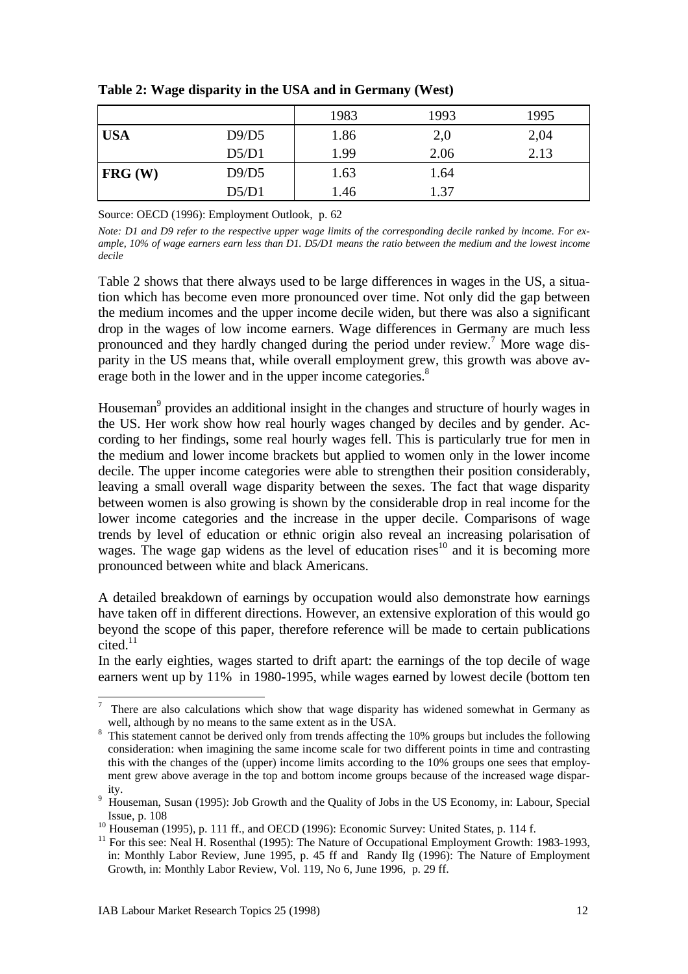|                    |       | 1983 | 1993 | 1995 |
|--------------------|-------|------|------|------|
| <b>USA</b>         | D9/D5 | 1.86 | 2,0  | 2,04 |
|                    | D5/D1 | 1.99 | 2.06 | 2.13 |
| $ {\rm FRG}\ (W)\$ | D9/D5 | 1.63 | 1.64 |      |
|                    | D5/D1 | 1.46 | 1.37 |      |

**Table 2: Wage disparity in the USA and in Germany (West)**

Source: OECD (1996): Employment Outlook, p. 62

*Note: D1 and D9 refer to the respective upper wage limits of the corresponding decile ranked by income. For example, 10% of wage earners earn less than D1. D5/D1 means the ratio between the medium and the lowest income decile*

Table 2 shows that there always used to be large differences in wages in the US, a situation which has become even more pronounced over time. Not only did the gap between the medium incomes and the upper income decile widen, but there was also a significant drop in the wages of low income earners. Wage differences in Germany are much less pronounced and they hardly changed during the period under review.<sup>7</sup> More wage disparity in the US means that, while overall employment grew, this growth was above average both in the lower and in the upper income categories.<sup>8</sup>

Houseman<sup>9</sup> provides an additional insight in the changes and structure of hourly wages in the US. Her work show how real hourly wages changed by deciles and by gender. According to her findings, some real hourly wages fell. This is particularly true for men in the medium and lower income brackets but applied to women only in the lower income decile. The upper income categories were able to strengthen their position considerably, leaving a small overall wage disparity between the sexes. The fact that wage disparity between women is also growing is shown by the considerable drop in real income for the lower income categories and the increase in the upper decile. Comparisons of wage trends by level of education or ethnic origin also reveal an increasing polarisation of wages. The wage gap widens as the level of education rises<sup>10</sup> and it is becoming more pronounced between white and black Americans.

A detailed breakdown of earnings by occupation would also demonstrate how earnings have taken off in different directions. However, an extensive exploration of this would go beyond the scope of this paper, therefore reference will be made to certain publications  $cited$ <sup>11</sup>

In the early eighties, wages started to drift apart: the earnings of the top decile of wage earners went up by 11% in 1980-1995, while wages earned by lowest decile (bottom ten

 7 There are also calculations which show that wage disparity has widened somewhat in Germany as well, although by no means to the same extent as in the USA.

<sup>&</sup>lt;sup>8</sup> This statement cannot be derived only from trends affecting the 10% groups but includes the following consideration: when imagining the same income scale for two different points in time and contrasting this with the changes of the (upper) income limits according to the 10% groups one sees that employment grew above average in the top and bottom income groups because of the increased wage disparity.

<sup>&</sup>lt;sup>9</sup> Houseman, Susan (1995): Job Growth and the Quality of Jobs in the US Economy, in: Labour, Special Issue, p. 108

 $10$  Houseman (1995), p. 111 ff., and OECD (1996): Economic Survey: United States, p. 114 f.

 $11$  For this see: Neal H. Rosenthal (1995): The Nature of Occupational Employment Growth: 1983-1993, in: Monthly Labor Review, June 1995, p. 45 ff and Randy Ilg (1996): The Nature of Employment Growth, in: Monthly Labor Review, Vol. 119, No 6, June 1996, p. 29 ff.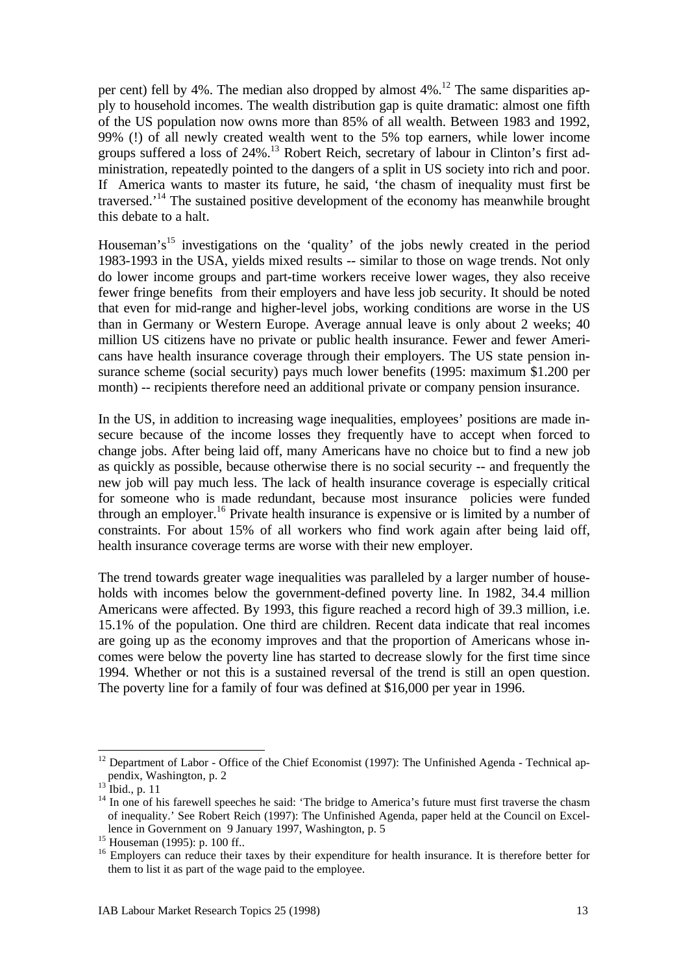per cent) fell by 4%. The median also dropped by almost  $4\%$ .<sup>12</sup> The same disparities apply to household incomes. The wealth distribution gap is quite dramatic: almost one fifth of the US population now owns more than 85% of all wealth. Between 1983 and 1992, 99% (!) of all newly created wealth went to the 5% top earners, while lower income groups suffered a loss of 24%.<sup>13</sup> Robert Reich, secretary of labour in Clinton's first administration, repeatedly pointed to the dangers of a split in US society into rich and poor. If America wants to master its future, he said, 'the chasm of inequality must first be traversed.'<sup>14</sup> The sustained positive development of the economy has meanwhile brought this debate to a halt.

Houseman's<sup>15</sup> investigations on the 'quality' of the jobs newly created in the period 1983-1993 in the USA, yields mixed results -- similar to those on wage trends. Not only do lower income groups and part-time workers receive lower wages, they also receive fewer fringe benefits from their employers and have less job security. It should be noted that even for mid-range and higher-level jobs, working conditions are worse in the US than in Germany or Western Europe. Average annual leave is only about 2 weeks; 40 million US citizens have no private or public health insurance. Fewer and fewer Americans have health insurance coverage through their employers. The US state pension insurance scheme (social security) pays much lower benefits (1995: maximum \$1.200 per month) -- recipients therefore need an additional private or company pension insurance.

In the US, in addition to increasing wage inequalities, employees' positions are made insecure because of the income losses they frequently have to accept when forced to change jobs. After being laid off, many Americans have no choice but to find a new job as quickly as possible, because otherwise there is no social security -- and frequently the new job will pay much less. The lack of health insurance coverage is especially critical for someone who is made redundant, because most insurance policies were funded through an employer.<sup>16</sup> Private health insurance is expensive or is limited by a number of constraints. For about 15% of all workers who find work again after being laid off, health insurance coverage terms are worse with their new employer.

The trend towards greater wage inequalities was paralleled by a larger number of households with incomes below the government-defined poverty line. In 1982, 34.4 million Americans were affected. By 1993, this figure reached a record high of 39.3 million, i.e. 15.1% of the population. One third are children. Recent data indicate that real incomes are going up as the economy improves and that the proportion of Americans whose incomes were below the poverty line has started to decrease slowly for the first time since 1994. Whether or not this is a sustained reversal of the trend is still an open question. The poverty line for a family of four was defined at \$16,000 per year in 1996.

<sup>&</sup>lt;sup>12</sup> Department of Labor - Office of the Chief Economist (1997): The Unfinished Agenda - Technical appendix, Washington, p. 2

 $13$  Ibid., p. 11

<sup>&</sup>lt;sup>14</sup> In one of his farewell speeches he said: 'The bridge to America's future must first traverse the chasm of inequality.' See Robert Reich (1997): The Unfinished Agenda, paper held at the Council on Excellence in Government on 9 January 1997, Washington, p. 5

<sup>15</sup> Houseman (1995): p. 100 ff..

<sup>&</sup>lt;sup>16</sup> Employers can reduce their taxes by their expenditure for health insurance. It is therefore better for them to list it as part of the wage paid to the employee.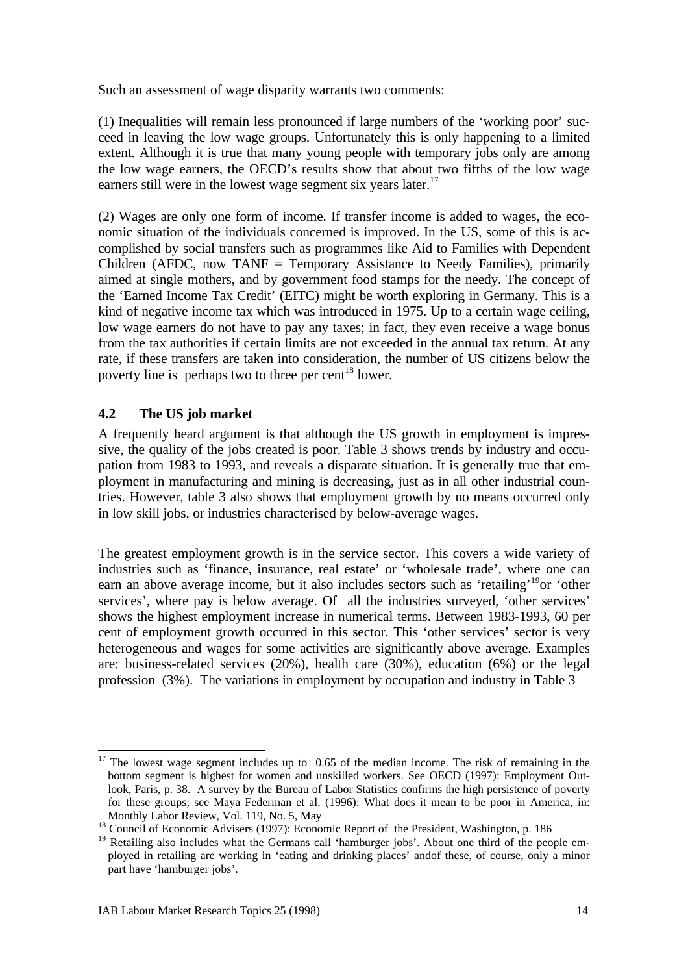Such an assessment of wage disparity warrants two comments:

(1) Inequalities will remain less pronounced if large numbers of the 'working poor' succeed in leaving the low wage groups. Unfortunately this is only happening to a limited extent. Although it is true that many young people with temporary jobs only are among the low wage earners, the OECD's results show that about two fifths of the low wage earners still were in the lowest wage segment six years later.<sup>17</sup>

(2) Wages are only one form of income. If transfer income is added to wages, the economic situation of the individuals concerned is improved. In the US, some of this is accomplished by social transfers such as programmes like Aid to Families with Dependent Children (AFDC, now TANF = Temporary Assistance to Needy Families), primarily aimed at single mothers, and by government food stamps for the needy. The concept of the 'Earned Income Tax Credit' (EITC) might be worth exploring in Germany. This is a kind of negative income tax which was introduced in 1975. Up to a certain wage ceiling, low wage earners do not have to pay any taxes; in fact, they even receive a wage bonus from the tax authorities if certain limits are not exceeded in the annual tax return. At any rate, if these transfers are taken into consideration, the number of US citizens below the poverty line is perhaps two to three per cent<sup>18</sup> lower.

## **4.2 The US job market**

A frequently heard argument is that although the US growth in employment is impressive, the quality of the jobs created is poor. Table 3 shows trends by industry and occupation from 1983 to 1993, and reveals a disparate situation. It is generally true that employment in manufacturing and mining is decreasing, just as in all other industrial countries. However, table 3 also shows that employment growth by no means occurred only in low skill jobs, or industries characterised by below-average wages.

The greatest employment growth is in the service sector. This covers a wide variety of industries such as 'finance, insurance, real estate' or 'wholesale trade', where one can earn an above average income, but it also includes sectors such as 'retailing'<sup>19</sup>or 'other services', where pay is below average. Of all the industries surveyed, 'other services' shows the highest employment increase in numerical terms. Between 1983-1993, 60 per cent of employment growth occurred in this sector. This 'other services' sector is very heterogeneous and wages for some activities are significantly above average. Examples are: business-related services (20%), health care (30%), education (6%) or the legal profession (3%). The variations in employment by occupation and industry in Table 3

<sup>-</sup> $17$  The lowest wage segment includes up to 0.65 of the median income. The risk of remaining in the bottom segment is highest for women and unskilled workers. See OECD (1997): Employment Outlook, Paris, p. 38. A survey by the Bureau of Labor Statistics confirms the high persistence of poverty for these groups; see Maya Federman et al. (1996): What does it mean to be poor in America, in: Monthly Labor Review, Vol. 119, No. 5, May

<sup>&</sup>lt;sup>18</sup> Council of Economic Advisers (1997): Economic Report of the President, Washington, p. 186

<sup>&</sup>lt;sup>19</sup> Retailing also includes what the Germans call 'hamburger jobs'. About one third of the people employed in retailing are working in 'eating and drinking places' andof these, of course, only a minor part have 'hamburger jobs'.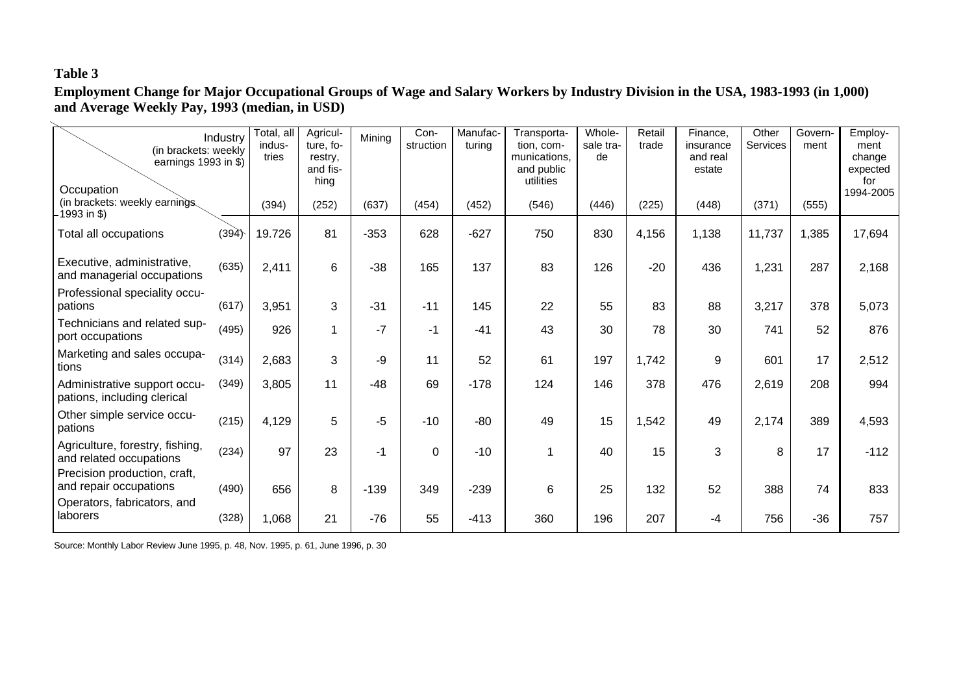# **Table 3**

**Employment Change for Major Occupational Groups of Wage and Salary Workers by Industry Division in the USA, 1983-1993 (in 1,000) and Average Weekly Pay, 1993 (median, in USD)**

| (in brackets: weekly<br>earnings 1993 in \$)<br>Occupation                            | Industry | Total, all<br>indus-<br>tries | Agricul-<br>ture, fo-<br>restry,<br>and fis-<br>hing | Mining | Con-<br>struction | Manufac-<br>turing | Transporta-<br>tion, com-<br>munications.<br>and public<br>utilities | Whole-<br>sale tra-<br>de | Retail<br>trade | Finance,<br>insurance<br>and real<br>estate | Other<br>Services | Govern-<br>ment | Employ-<br>ment<br>change<br>expected<br>for<br>1994-2005 |
|---------------------------------------------------------------------------------------|----------|-------------------------------|------------------------------------------------------|--------|-------------------|--------------------|----------------------------------------------------------------------|---------------------------|-----------------|---------------------------------------------|-------------------|-----------------|-----------------------------------------------------------|
| (in brackets: weekly earnings<br>$-1993$ in \$)                                       |          | (394)                         | (252)                                                | (637)  | (454)             | (452)              | (546)                                                                | (446)                     | (225)           | (448)                                       | (371)             | (555)           |                                                           |
| Total all occupations                                                                 | (394)    | 19.726                        | 81                                                   | $-353$ | 628               | $-627$             | 750                                                                  | 830                       | 4,156           | 1,138                                       | 11,737            | 1,385           | 17,694                                                    |
| Executive, administrative,<br>and managerial occupations                              | (635)    | 2,411                         | 6                                                    | $-38$  | 165               | 137                | 83                                                                   | 126                       | $-20$           | 436                                         | 1,231             | 287             | 2,168                                                     |
| Professional speciality occu-<br>pations                                              | (617)    | 3,951                         | 3                                                    | $-31$  | $-11$             | 145                | 22                                                                   | 55                        | 83              | 88                                          | 3,217             | 378             | 5,073                                                     |
| Technicians and related sup-<br>port occupations                                      | (495)    | 926                           | 1                                                    | -7     | $-1$              | $-41$              | 43                                                                   | 30                        | 78              | 30                                          | 741               | 52              | 876                                                       |
| Marketing and sales occupa-<br>tions                                                  | (314)    | 2,683                         | 3                                                    | -9     | 11                | 52                 | 61                                                                   | 197                       | 1,742           | 9                                           | 601               | 17              | 2,512                                                     |
| Administrative support occu-<br>pations, including clerical                           | (349)    | 3,805                         | 11                                                   | $-48$  | 69                | $-178$             | 124                                                                  | 146                       | 378             | 476                                         | 2,619             | 208             | 994                                                       |
| Other simple service occu-<br>pations                                                 | (215)    | 4,129                         | 5                                                    | $-5$   | $-10$             | $-80$              | 49                                                                   | 15                        | 1,542           | 49                                          | 2,174             | 389             | 4,593                                                     |
| Agriculture, forestry, fishing,<br>and related occupations                            | (234)    | 97                            | 23                                                   | -1     | 0                 | $-10$              | 1                                                                    | 40                        | 15              | 3                                           | 8                 | 17              | $-112$                                                    |
| Precision production, craft,<br>and repair occupations<br>Operators, fabricators, and | (490)    | 656                           | 8                                                    | $-139$ | 349               | $-239$             | 6                                                                    | 25                        | 132             | 52                                          | 388               | 74              | 833                                                       |
| laborers                                                                              | (328)    | 1,068                         | 21                                                   | $-76$  | 55                | $-413$             | 360                                                                  | 196                       | 207             | -4                                          | 756               | $-36$           | 757                                                       |

Source: Monthly Labor Review June 1995, p. 48, Nov. 1995, p. 61, June 1996, p. 30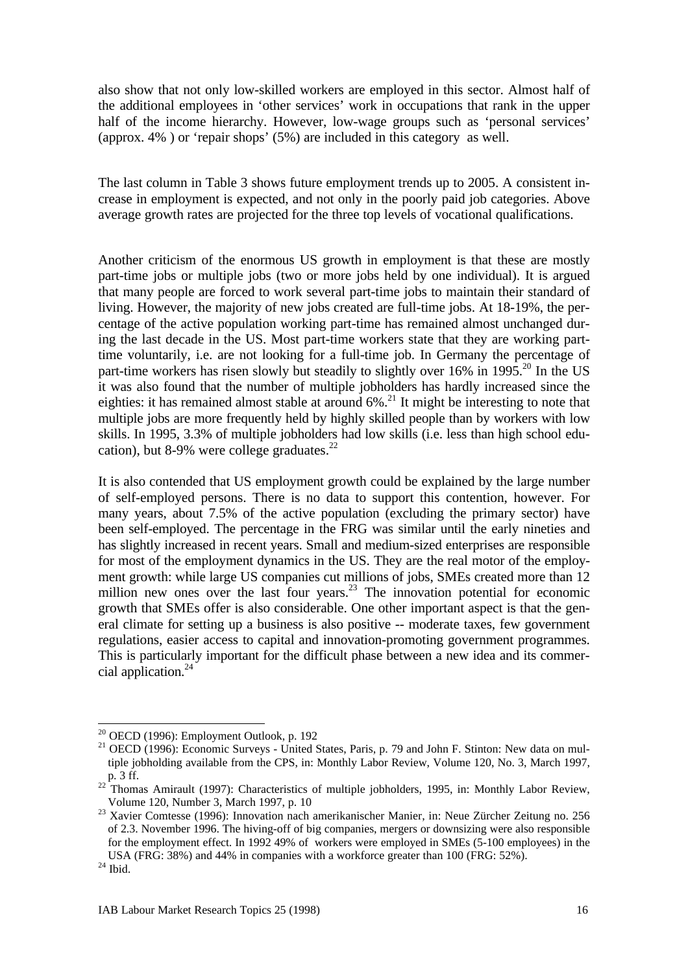also show that not only low-skilled workers are employed in this sector. Almost half of the additional employees in 'other services' work in occupations that rank in the upper half of the income hierarchy. However, low-wage groups such as 'personal services' (approx. 4% ) or 'repair shops' (5%) are included in this category as well.

The last column in Table 3 shows future employment trends up to 2005. A consistent increase in employment is expected, and not only in the poorly paid job categories. Above average growth rates are projected for the three top levels of vocational qualifications.

Another criticism of the enormous US growth in employment is that these are mostly part-time jobs or multiple jobs (two or more jobs held by one individual). It is argued that many people are forced to work several part-time jobs to maintain their standard of living. However, the majority of new jobs created are full-time jobs. At 18-19%, the percentage of the active population working part-time has remained almost unchanged during the last decade in the US. Most part-time workers state that they are working parttime voluntarily, i.e. are not looking for a full-time job. In Germany the percentage of part-time workers has risen slowly but steadily to slightly over  $16\%$  in  $1995$ <sup>20</sup> In the US it was also found that the number of multiple jobholders has hardly increased since the eighties: it has remained almost stable at around  $6\%$ <sup>21</sup>. It might be interesting to note that multiple jobs are more frequently held by highly skilled people than by workers with low skills. In 1995, 3.3% of multiple jobholders had low skills (i.e. less than high school education), but 8-9% were college graduates. $^{22}$ 

It is also contended that US employment growth could be explained by the large number of self-employed persons. There is no data to support this contention, however. For many years, about 7.5% of the active population (excluding the primary sector) have been self-employed. The percentage in the FRG was similar until the early nineties and has slightly increased in recent years. Small and medium-sized enterprises are responsible for most of the employment dynamics in the US. They are the real motor of the employment growth: while large US companies cut millions of jobs, SMEs created more than 12 million new ones over the last four years.<sup>23</sup> The innovation potential for economic growth that SMEs offer is also considerable. One other important aspect is that the general climate for setting up a business is also positive -- moderate taxes, few government regulations, easier access to capital and innovation-promoting government programmes. This is particularly important for the difficult phase between a new idea and its commercial application.<sup>24</sup>

l

 $20$  OECD (1996): Employment Outlook, p. 192

<sup>&</sup>lt;sup>21</sup> OECD (1996): Economic Surveys - United States, Paris, p. 79 and John F. Stinton: New data on multiple jobholding available from the CPS, in: Monthly Labor Review, Volume 120, No. 3, March 1997, p. 3 ff.

 $22$  Thomas Amirault (1997): Characteristics of multiple jobholders, 1995, in: Monthly Labor Review, Volume 120, Number 3, March 1997, p. 10

<sup>&</sup>lt;sup>23</sup> Xavier Comtesse (1996): Innovation nach amerikanischer Manier, in: Neue Zürcher Zeitung no. 256 of 2.3. November 1996. The hiving-off of big companies, mergers or downsizing were also responsible for the employment effect. In 1992 49% of workers were employed in SMEs (5-100 employees) in the USA (FRG: 38%) and 44% in companies with a workforce greater than 100 (FRG: 52%).

 $^{24}$  Ibid.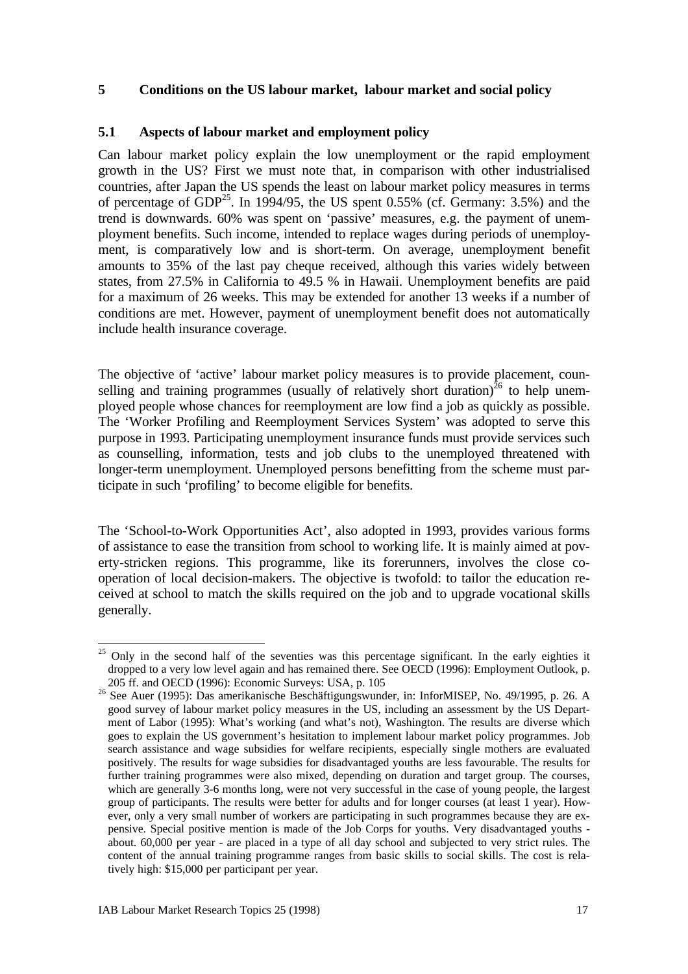#### **5 Conditions on the US labour market, labour market and social policy**

#### **5.1 Aspects of labour market and employment policy**

Can labour market policy explain the low unemployment or the rapid employment growth in the US? First we must note that, in comparison with other industrialised countries, after Japan the US spends the least on labour market policy measures in terms of percentage of  $GDP^{25}$ . In 1994/95, the US spent 0.55% (cf. Germany: 3.5%) and the trend is downwards. 60% was spent on 'passive' measures, e.g. the payment of unemployment benefits. Such income, intended to replace wages during periods of unemployment, is comparatively low and is short-term. On average, unemployment benefit amounts to 35% of the last pay cheque received, although this varies widely between states, from 27.5% in California to 49.5 % in Hawaii. Unemployment benefits are paid for a maximum of 26 weeks. This may be extended for another 13 weeks if a number of conditions are met. However, payment of unemployment benefit does not automatically include health insurance coverage.

The objective of 'active' labour market policy measures is to provide placement, counselling and training programmes (usually of relatively short duration)<sup>26</sup> to help unemployed people whose chances for reemployment are low find a job as quickly as possible. The 'Worker Profiling and Reemployment Services System' was adopted to serve this purpose in 1993. Participating unemployment insurance funds must provide services such as counselling, information, tests and job clubs to the unemployed threatened with longer-term unemployment. Unemployed persons benefitting from the scheme must participate in such 'profiling' to become eligible for benefits.

The 'School-to-Work Opportunities Act', also adopted in 1993, provides various forms of assistance to ease the transition from school to working life. It is mainly aimed at poverty-stricken regions. This programme, like its forerunners, involves the close cooperation of local decision-makers. The objective is twofold: to tailor the education received at school to match the skills required on the job and to upgrade vocational skills generally.

 $25$  Only in the second half of the seventies was this percentage significant. In the early eighties it dropped to a very low level again and has remained there. See OECD (1996): Employment Outlook, p. 205 ff. and OECD (1996): Economic Surveys: USA, p. 105

 $265$  See Auer (1995): Das amerikanische Beschäftigungswunder, in: InforMISEP, No. 49/1995, p. 26. A good survey of labour market policy measures in the US, including an assessment by the US Department of Labor (1995): What's working (and what's not), Washington. The results are diverse which goes to explain the US government's hesitation to implement labour market policy programmes. Job search assistance and wage subsidies for welfare recipients, especially single mothers are evaluated positively. The results for wage subsidies for disadvantaged youths are less favourable. The results for further training programmes were also mixed, depending on duration and target group. The courses, which are generally 3-6 months long, were not very successful in the case of young people, the largest group of participants. The results were better for adults and for longer courses (at least 1 year). However, only a very small number of workers are participating in such programmes because they are expensive. Special positive mention is made of the Job Corps for youths. Very disadvantaged youths about. 60,000 per year - are placed in a type of all day school and subjected to very strict rules. The content of the annual training programme ranges from basic skills to social skills. The cost is relatively high: \$15,000 per participant per year.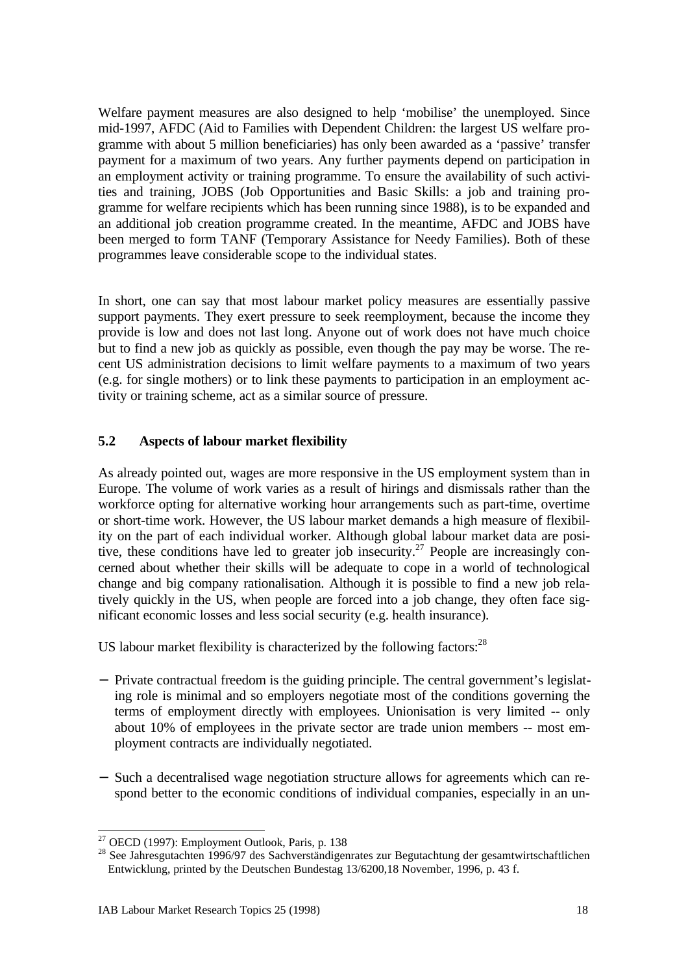Welfare payment measures are also designed to help 'mobilise' the unemployed. Since mid-1997, AFDC (Aid to Families with Dependent Children: the largest US welfare programme with about 5 million beneficiaries) has only been awarded as a 'passive' transfer payment for a maximum of two years. Any further payments depend on participation in an employment activity or training programme. To ensure the availability of such activities and training, JOBS (Job Opportunities and Basic Skills: a job and training programme for welfare recipients which has been running since 1988), is to be expanded and an additional job creation programme created. In the meantime, AFDC and JOBS have been merged to form TANF (Temporary Assistance for Needy Families). Both of these programmes leave considerable scope to the individual states.

In short, one can say that most labour market policy measures are essentially passive support payments. They exert pressure to seek reemployment, because the income they provide is low and does not last long. Anyone out of work does not have much choice but to find a new job as quickly as possible, even though the pay may be worse. The recent US administration decisions to limit welfare payments to a maximum of two years (e.g. for single mothers) or to link these payments to participation in an employment activity or training scheme, act as a similar source of pressure.

## **5.2 Aspects of labour market flexibility**

As already pointed out, wages are more responsive in the US employment system than in Europe. The volume of work varies as a result of hirings and dismissals rather than the workforce opting for alternative working hour arrangements such as part-time, overtime or short-time work. However, the US labour market demands a high measure of flexibility on the part of each individual worker. Although global labour market data are positive, these conditions have led to greater job insecurity.<sup>27</sup> People are increasingly concerned about whether their skills will be adequate to cope in a world of technological change and big company rationalisation. Although it is possible to find a new job relatively quickly in the US, when people are forced into a job change, they often face significant economic losses and less social security (e.g. health insurance).

US labour market flexibility is characterized by the following factors: $^{28}$ 

- − Private contractual freedom is the guiding principle. The central government's legislating role is minimal and so employers negotiate most of the conditions governing the terms of employment directly with employees. Unionisation is very limited -- only about 10% of employees in the private sector are trade union members -- most employment contracts are individually negotiated.
- − Such a decentralised wage negotiation structure allows for agreements which can respond better to the economic conditions of individual companies, especially in an un-

 $27$  OECD (1997): Employment Outlook, Paris, p. 138

<sup>&</sup>lt;sup>28</sup> See Jahresgutachten 1996/97 des Sachverständigenrates zur Begutachtung der gesamtwirtschaftlichen Entwicklung, printed by the Deutschen Bundestag 13/6200,18 November, 1996, p. 43 f.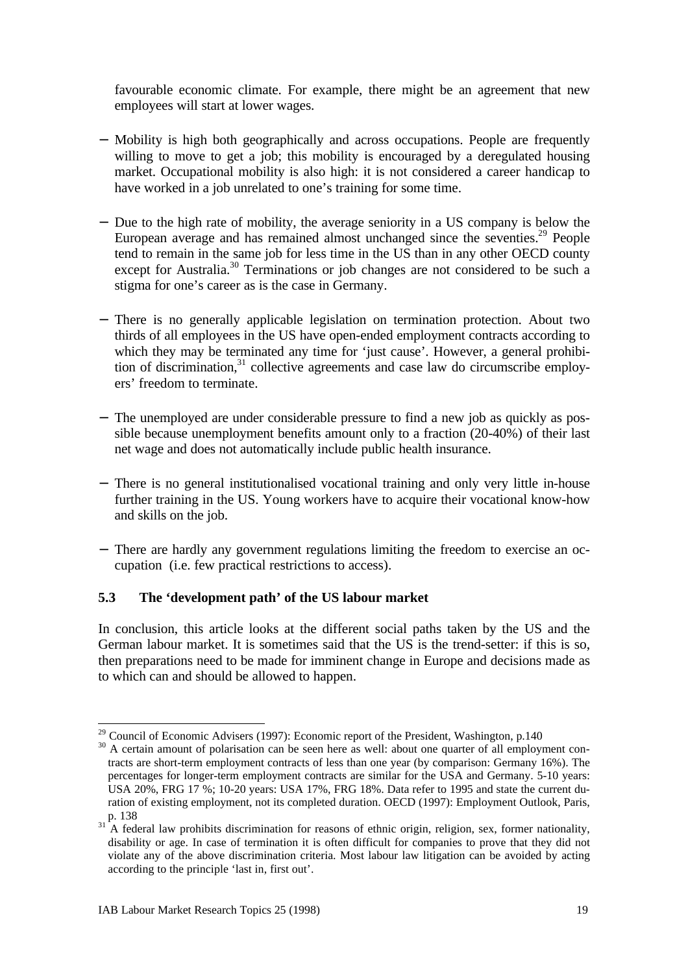favourable economic climate. For example, there might be an agreement that new employees will start at lower wages.

- − Mobility is high both geographically and across occupations. People are frequently willing to move to get a job; this mobility is encouraged by a deregulated housing market. Occupational mobility is also high: it is not considered a career handicap to have worked in a job unrelated to one's training for some time.
- − Due to the high rate of mobility, the average seniority in a US company is below the European average and has remained almost unchanged since the seventies. $29$  People tend to remain in the same job for less time in the US than in any other OECD county except for Australia.<sup>30</sup> Terminations or job changes are not considered to be such a stigma for one's career as is the case in Germany.
- − There is no generally applicable legislation on termination protection. About two thirds of all employees in the US have open-ended employment contracts according to which they may be terminated any time for 'just cause'. However, a general prohibition of discrimination, $31$  collective agreements and case law do circumscribe employers' freedom to terminate.
- − The unemployed are under considerable pressure to find a new job as quickly as possible because unemployment benefits amount only to a fraction (20-40%) of their last net wage and does not automatically include public health insurance.
- − There is no general institutionalised vocational training and only very little in-house further training in the US. Young workers have to acquire their vocational know-how and skills on the job.
- − There are hardly any government regulations limiting the freedom to exercise an occupation (i.e. few practical restrictions to access).

## **5.3 The 'development path' of the US labour market**

In conclusion, this article looks at the different social paths taken by the US and the German labour market. It is sometimes said that the US is the trend-setter: if this is so, then preparations need to be made for imminent change in Europe and decisions made as to which can and should be allowed to happen.

l

 $29$  Council of Economic Advisers (1997): Economic report of the President, Washington, p.140

<sup>&</sup>lt;sup>30</sup> A certain amount of polarisation can be seen here as well: about one quarter of all employment contracts are short-term employment contracts of less than one year (by comparison: Germany 16%). The percentages for longer-term employment contracts are similar for the USA and Germany. 5-10 years: USA 20%, FRG 17 %; 10-20 years: USA 17%, FRG 18%. Data refer to 1995 and state the current duration of existing employment, not its completed duration. OECD (1997): Employment Outlook, Paris,  $p. 138$ 

A federal law prohibits discrimination for reasons of ethnic origin, religion, sex, former nationality, disability or age. In case of termination it is often difficult for companies to prove that they did not violate any of the above discrimination criteria. Most labour law litigation can be avoided by acting according to the principle 'last in, first out'.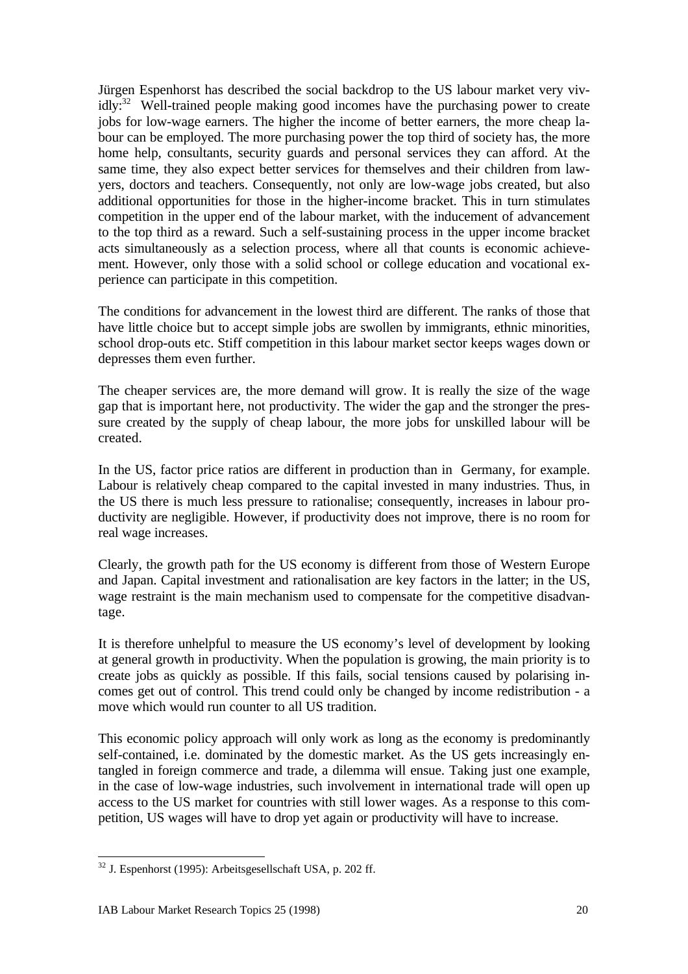Jürgen Espenhorst has described the social backdrop to the US labour market very viv- $\text{idly:}^{32}$  Well-trained people making good incomes have the purchasing power to create jobs for low-wage earners. The higher the income of better earners, the more cheap labour can be employed. The more purchasing power the top third of society has, the more home help, consultants, security guards and personal services they can afford. At the same time, they also expect better services for themselves and their children from lawyers, doctors and teachers. Consequently, not only are low-wage jobs created, but also additional opportunities for those in the higher-income bracket. This in turn stimulates competition in the upper end of the labour market, with the inducement of advancement to the top third as a reward. Such a self-sustaining process in the upper income bracket acts simultaneously as a selection process, where all that counts is economic achievement. However, only those with a solid school or college education and vocational experience can participate in this competition.

The conditions for advancement in the lowest third are different. The ranks of those that have little choice but to accept simple jobs are swollen by immigrants, ethnic minorities, school drop-outs etc. Stiff competition in this labour market sector keeps wages down or depresses them even further.

The cheaper services are, the more demand will grow. It is really the size of the wage gap that is important here, not productivity. The wider the gap and the stronger the pressure created by the supply of cheap labour, the more jobs for unskilled labour will be created.

In the US, factor price ratios are different in production than in Germany, for example. Labour is relatively cheap compared to the capital invested in many industries. Thus, in the US there is much less pressure to rationalise; consequently, increases in labour productivity are negligible. However, if productivity does not improve, there is no room for real wage increases.

Clearly, the growth path for the US economy is different from those of Western Europe and Japan. Capital investment and rationalisation are key factors in the latter; in the US, wage restraint is the main mechanism used to compensate for the competitive disadvantage.

It is therefore unhelpful to measure the US economy's level of development by looking at general growth in productivity. When the population is growing, the main priority is to create jobs as quickly as possible. If this fails, social tensions caused by polarising incomes get out of control. This trend could only be changed by income redistribution - a move which would run counter to all US tradition.

This economic policy approach will only work as long as the economy is predominantly self-contained, i.e. dominated by the domestic market. As the US gets increasingly entangled in foreign commerce and trade, a dilemma will ensue. Taking just one example, in the case of low-wage industries, such involvement in international trade will open up access to the US market for countries with still lower wages. As a response to this competition, US wages will have to drop yet again or productivity will have to increase.

<sup>-</sup> $32$  J. Espenhorst (1995): Arbeitsgesellschaft USA, p. 202 ff.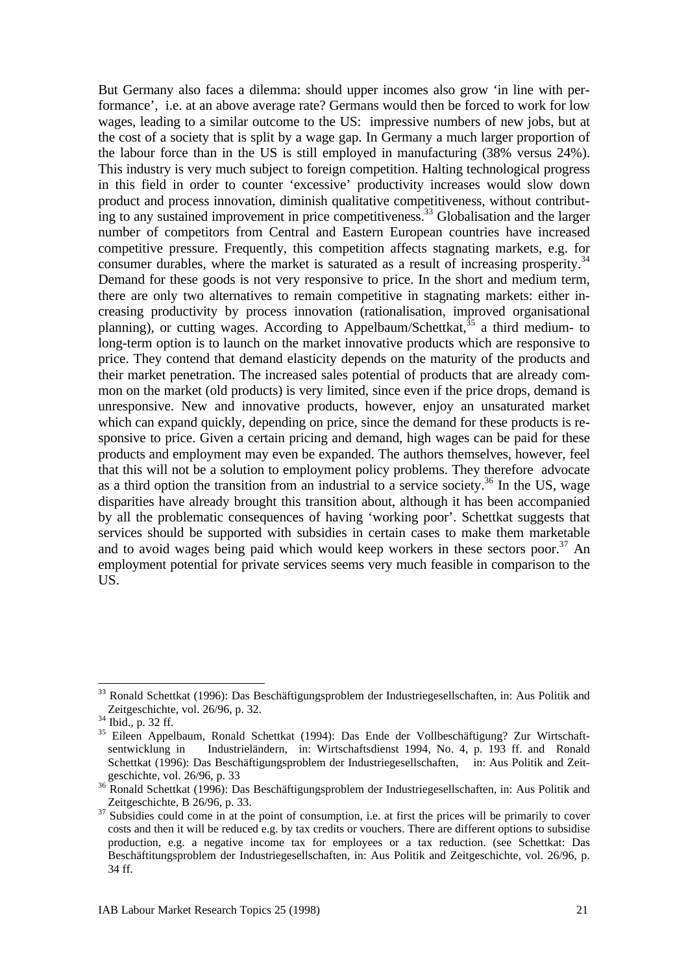But Germany also faces a dilemma: should upper incomes also grow 'in line with performance', i.e. at an above average rate? Germans would then be forced to work for low wages, leading to a similar outcome to the US: impressive numbers of new jobs, but at the cost of a society that is split by a wage gap. In Germany a much larger proportion of the labour force than in the US is still employed in manufacturing (38% versus 24%). This industry is very much subject to foreign competition. Halting technological progress in this field in order to counter 'excessive' productivity increases would slow down product and process innovation, diminish qualitative competitiveness, without contributing to any sustained improvement in price competitiveness.<sup>33</sup> Globalisation and the larger number of competitors from Central and Eastern European countries have increased competitive pressure. Frequently, this competition affects stagnating markets, e.g. for consumer durables, where the market is saturated as a result of increasing prosperity.<sup>34</sup> Demand for these goods is not very responsive to price. In the short and medium term, there are only two alternatives to remain competitive in stagnating markets: either increasing productivity by process innovation (rationalisation, improved organisational planning), or cutting wages. According to Appelbaum/Schettkat,  $35$  a third medium- to long-term option is to launch on the market innovative products which are responsive to price. They contend that demand elasticity depends on the maturity of the products and their market penetration. The increased sales potential of products that are already common on the market (old products) is very limited, since even if the price drops, demand is unresponsive. New and innovative products, however, enjoy an unsaturated market which can expand quickly, depending on price, since the demand for these products is responsive to price. Given a certain pricing and demand, high wages can be paid for these products and employment may even be expanded. The authors themselves, however, feel that this will not be a solution to employment policy problems. They therefore advocate as a third option the transition from an industrial to a service society.<sup>36</sup> In the US, wage disparities have already brought this transition about, although it has been accompanied by all the problematic consequences of having 'working poor'. Schettkat suggests that services should be supported with subsidies in certain cases to make them marketable and to avoid wages being paid which would keep workers in these sectors poor.<sup>37</sup> An employment potential for private services seems very much feasible in comparison to the US.

<sup>&</sup>lt;sup>33</sup> Ronald Schettkat (1996): Das Beschäftigungsproblem der Industriegesellschaften, in: Aus Politik and Zeitgeschichte, vol. 26/96, p. 32.

 $34$  Ibid., p. 32 ff.

<sup>&</sup>lt;sup>35</sup> Eileen Appelbaum, Ronald Schettkat (1994): Das Ende der Vollbeschäftigung? Zur Wirtschaftsentwicklung in Industrieländern, in: Wirtschaftsdienst 1994, No. 4, p. 193 ff. and Ronald Schettkat (1996): Das Beschäftigungsproblem der Industriegesellschaften, in: Aus Politik and Zeitgeschichte, vol. 26/96, p. 33

<sup>36</sup> Ronald Schettkat (1996): Das Beschäftigungsproblem der Industriegesellschaften, in: Aus Politik and Zeitgeschichte, B 26/96, p. 33.

<sup>&</sup>lt;sup>37</sup> Subsidies could come in at the point of consumption, i.e. at first the prices will be primarily to cover costs and then it will be reduced e.g. by tax credits or vouchers. There are different options to subsidise production, e.g. a negative income tax for employees or a tax reduction. (see Schettkat: Das Beschäftitungsproblem der Industriegesellschaften, in: Aus Politik and Zeitgeschichte, vol. 26/96, p. 34 ff.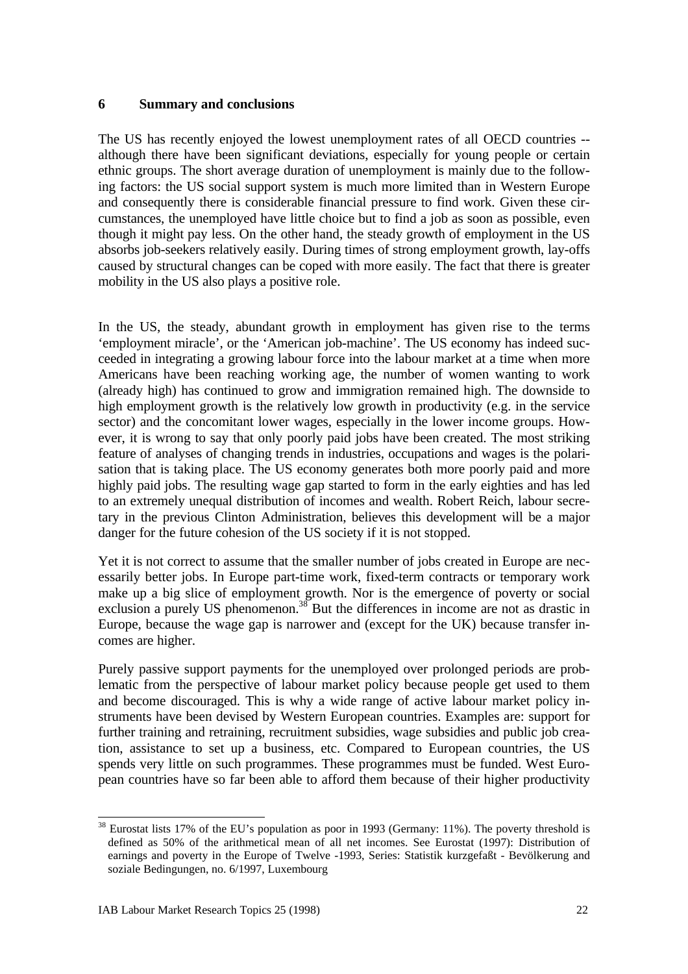#### **6 Summary and conclusions**

The US has recently enjoyed the lowest unemployment rates of all OECD countries - although there have been significant deviations, especially for young people or certain ethnic groups. The short average duration of unemployment is mainly due to the following factors: the US social support system is much more limited than in Western Europe and consequently there is considerable financial pressure to find work. Given these circumstances, the unemployed have little choice but to find a job as soon as possible, even though it might pay less. On the other hand, the steady growth of employment in the US absorbs job-seekers relatively easily. During times of strong employment growth, lay-offs caused by structural changes can be coped with more easily. The fact that there is greater mobility in the US also plays a positive role.

In the US, the steady, abundant growth in employment has given rise to the terms 'employment miracle', or the 'American job-machine'. The US economy has indeed succeeded in integrating a growing labour force into the labour market at a time when more Americans have been reaching working age, the number of women wanting to work (already high) has continued to grow and immigration remained high. The downside to high employment growth is the relatively low growth in productivity (e.g. in the service sector) and the concomitant lower wages, especially in the lower income groups. However, it is wrong to say that only poorly paid jobs have been created. The most striking feature of analyses of changing trends in industries, occupations and wages is the polarisation that is taking place. The US economy generates both more poorly paid and more highly paid jobs. The resulting wage gap started to form in the early eighties and has led to an extremely unequal distribution of incomes and wealth. Robert Reich, labour secretary in the previous Clinton Administration, believes this development will be a major danger for the future cohesion of the US society if it is not stopped.

Yet it is not correct to assume that the smaller number of jobs created in Europe are necessarily better jobs. In Europe part-time work, fixed-term contracts or temporary work make up a big slice of employment growth. Nor is the emergence of poverty or social exclusion a purely US phenomenon.<sup>38</sup> But the differences in income are not as drastic in Europe, because the wage gap is narrower and (except for the UK) because transfer incomes are higher.

Purely passive support payments for the unemployed over prolonged periods are problematic from the perspective of labour market policy because people get used to them and become discouraged. This is why a wide range of active labour market policy instruments have been devised by Western European countries. Examples are: support for further training and retraining, recruitment subsidies, wage subsidies and public job creation, assistance to set up a business, etc. Compared to European countries, the US spends very little on such programmes. These programmes must be funded. West European countries have so far been able to afford them because of their higher productivity

l  $38$  Eurostat lists 17% of the EU's population as poor in 1993 (Germany: 11%). The poverty threshold is defined as 50% of the arithmetical mean of all net incomes. See Eurostat (1997): Distribution of earnings and poverty in the Europe of Twelve -1993, Series: Statistik kurzgefaßt - Bevölkerung and soziale Bedingungen, no. 6/1997, Luxembourg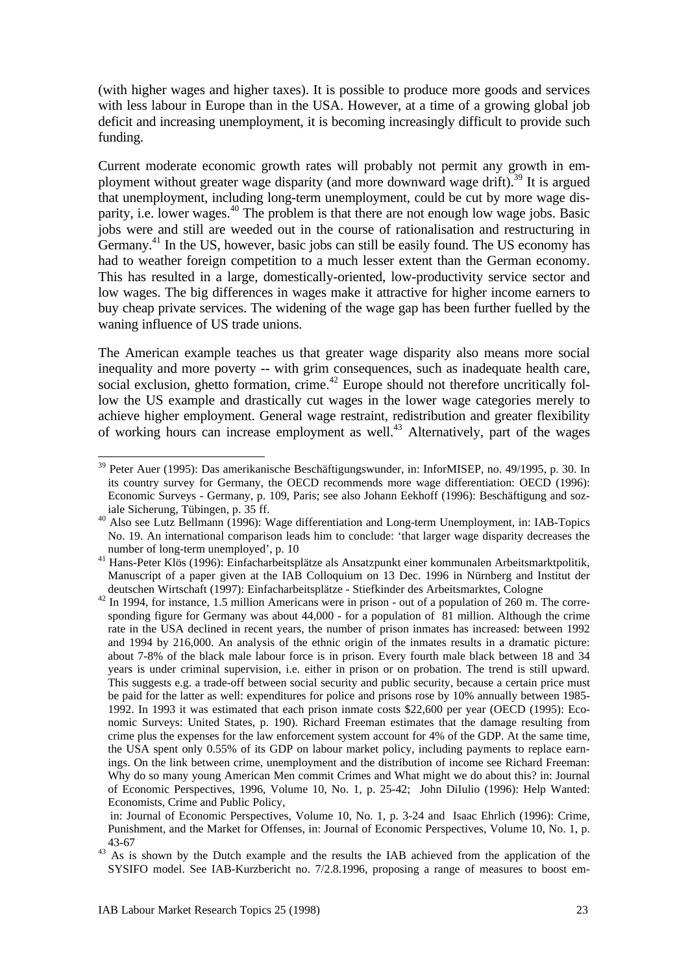(with higher wages and higher taxes). It is possible to produce more goods and services with less labour in Europe than in the USA. However, at a time of a growing global job deficit and increasing unemployment, it is becoming increasingly difficult to provide such funding.

Current moderate economic growth rates will probably not permit any growth in employment without greater wage disparity (and more downward wage drift).<sup>39</sup> It is argued that unemployment, including long-term unemployment, could be cut by more wage disparity, i.e. lower wages.<sup>40</sup> The problem is that there are not enough low wage jobs. Basic jobs were and still are weeded out in the course of rationalisation and restructuring in Germany.<sup>41</sup> In the US, however, basic jobs can still be easily found. The US economy has had to weather foreign competition to a much lesser extent than the German economy. This has resulted in a large, domestically-oriented, low-productivity service sector and low wages. The big differences in wages make it attractive for higher income earners to buy cheap private services. The widening of the wage gap has been further fuelled by the waning influence of US trade unions.

The American example teaches us that greater wage disparity also means more social inequality and more poverty -- with grim consequences, such as inadequate health care, social exclusion, ghetto formation, crime.<sup>42</sup> Europe should not therefore uncritically follow the US example and drastically cut wages in the lower wage categories merely to achieve higher employment. General wage restraint, redistribution and greater flexibility of working hours can increase employment as well.<sup>43</sup> Alternatively, part of the wages

<sup>&</sup>lt;sup>39</sup> Peter Auer (1995): Das amerikanische Beschäftigungswunder, in: InforMISEP, no. 49/1995, p. 30. In its country survey for Germany, the OECD recommends more wage differentiation: OECD (1996): Economic Surveys - Germany, p. 109, Paris; see also Johann Eekhoff (1996): Beschäftigung and soziale Sicherung, Tübingen, p. 35 ff.

<sup>40</sup> Also see Lutz Bellmann (1996): Wage differentiation and Long-term Unemployment, in: IAB-Topics No. 19. An international comparison leads him to conclude: 'that larger wage disparity decreases the number of long-term unemployed', p. 10

<sup>41</sup> Hans-Peter Klös (1996): Einfacharbeitsplätze als Ansatzpunkt einer kommunalen Arbeitsmarktpolitik, Manuscript of a paper given at the IAB Colloquium on 13 Dec. 1996 in Nürnberg and Institut der deutschen Wirtschaft (1997): Einfacharbeitsplätze - Stiefkinder des Arbeitsmarktes, Cologne

<sup>&</sup>lt;sup>42</sup> In 1994, for instance, 1.5 million Americans were in prison - out of a population of 260 m. The corresponding figure for Germany was about 44,000 - for a population of 81 million. Although the crime rate in the USA declined in recent years, the number of prison inmates has increased: between 1992 and 1994 by 216,000. An analysis of the ethnic origin of the inmates results in a dramatic picture: about 7-8% of the black male labour force is in prison. Every fourth male black between 18 and 34 years is under criminal supervision, i.e. either in prison or on probation. The trend is still upward. This suggests e.g. a trade-off between social security and public security, because a certain price must be paid for the latter as well: expenditures for police and prisons rose by 10% annually between 1985- 1992. In 1993 it was estimated that each prison inmate costs \$22,600 per year (OECD (1995): Economic Surveys: United States, p. 190). Richard Freeman estimates that the damage resulting from crime plus the expenses for the law enforcement system account for 4% of the GDP. At the same time, the USA spent only 0.55% of its GDP on labour market policy, including payments to replace earnings. On the link between crime, unemployment and the distribution of income see Richard Freeman: Why do so many young American Men commit Crimes and What might we do about this? in: Journal of Economic Perspectives, 1996, Volume 10, No. 1, p. 25-42; John DiIulio (1996): Help Wanted: Economists, Crime and Public Policy,

in: Journal of Economic Perspectives, Volume 10, No. 1, p. 3-24 and Isaac Ehrlich (1996): Crime, Punishment, and the Market for Offenses, in: Journal of Economic Perspectives, Volume 10, No. 1, p. 43-67

<sup>&</sup>lt;sup>43</sup> As is shown by the Dutch example and the results the IAB achieved from the application of the SYSIFO model. See IAB-Kurzbericht no. 7/2.8.1996, proposing a range of measures to boost em-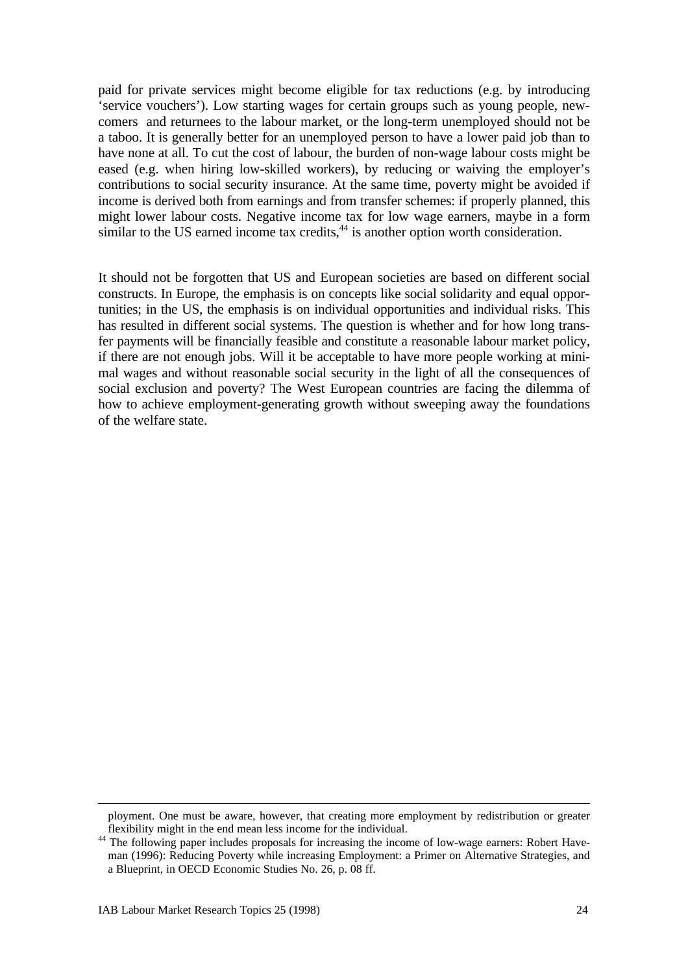paid for private services might become eligible for tax reductions (e.g. by introducing 'service vouchers'). Low starting wages for certain groups such as young people, newcomers and returnees to the labour market, or the long-term unemployed should not be a taboo. It is generally better for an unemployed person to have a lower paid job than to have none at all. To cut the cost of labour, the burden of non-wage labour costs might be eased (e.g. when hiring low-skilled workers), by reducing or waiving the employer's contributions to social security insurance. At the same time, poverty might be avoided if income is derived both from earnings and from transfer schemes: if properly planned, this might lower labour costs. Negative income tax for low wage earners, maybe in a form similar to the US earned income tax credits, $44$  is another option worth consideration.

It should not be forgotten that US and European societies are based on different social constructs. In Europe, the emphasis is on concepts like social solidarity and equal opportunities; in the US, the emphasis is on individual opportunities and individual risks. This has resulted in different social systems. The question is whether and for how long transfer payments will be financially feasible and constitute a reasonable labour market policy, if there are not enough jobs. Will it be acceptable to have more people working at minimal wages and without reasonable social security in the light of all the consequences of social exclusion and poverty? The West European countries are facing the dilemma of how to achieve employment-generating growth without sweeping away the foundations of the welfare state.

ployment. One must be aware, however, that creating more employment by redistribution or greater flexibility might in the end mean less income for the individual.

<sup>&</sup>lt;sup>44</sup> The following paper includes proposals for increasing the income of low-wage earners: Robert Haveman (1996): Reducing Poverty while increasing Employment: a Primer on Alternative Strategies, and a Blueprint, in OECD Economic Studies No. 26, p. 08 ff.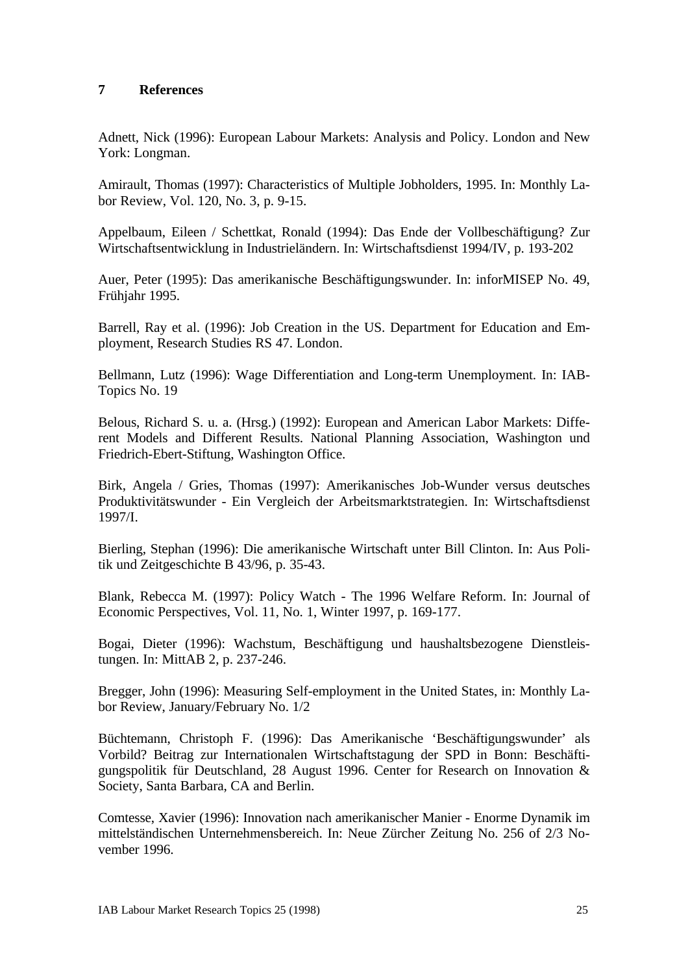#### **7 References**

Adnett, Nick (1996): European Labour Markets: Analysis and Policy. London and New York: Longman.

Amirault, Thomas (1997): Characteristics of Multiple Jobholders, 1995. In: Monthly Labor Review, Vol. 120, No. 3, p. 9-15.

Appelbaum, Eileen / Schettkat, Ronald (1994): Das Ende der Vollbeschäftigung? Zur Wirtschaftsentwicklung in Industrieländern. In: Wirtschaftsdienst 1994/IV, p. 193-202

Auer, Peter (1995): Das amerikanische Beschäftigungswunder. In: inforMISEP No. 49, Frühjahr 1995.

Barrell, Ray et al. (1996): Job Creation in the US. Department for Education and Employment, Research Studies RS 47. London.

Bellmann, Lutz (1996): Wage Differentiation and Long-term Unemployment. In: IAB-Topics No. 19

Belous, Richard S. u. a. (Hrsg.) (1992): European and American Labor Markets: Different Models and Different Results. National Planning Association, Washington und Friedrich-Ebert-Stiftung, Washington Office.

Birk, Angela / Gries, Thomas (1997): Amerikanisches Job-Wunder versus deutsches Produktivitätswunder - Ein Vergleich der Arbeitsmarktstrategien. In: Wirtschaftsdienst 1997/I.

Bierling, Stephan (1996): Die amerikanische Wirtschaft unter Bill Clinton. In: Aus Politik und Zeitgeschichte B 43/96, p. 35-43.

Blank, Rebecca M. (1997): Policy Watch - The 1996 Welfare Reform. In: Journal of Economic Perspectives, Vol. 11, No. 1, Winter 1997, p. 169-177.

Bogai, Dieter (1996): Wachstum, Beschäftigung und haushaltsbezogene Dienstleistungen. In: MittAB 2, p. 237-246.

Bregger, John (1996): Measuring Self-employment in the United States, in: Monthly Labor Review, January/February No. 1/2

Büchtemann, Christoph F. (1996): Das Amerikanische 'Beschäftigungswunder' als Vorbild? Beitrag zur Internationalen Wirtschaftstagung der SPD in Bonn: Beschäftigungspolitik für Deutschland, 28 August 1996. Center for Research on Innovation & Society, Santa Barbara, CA and Berlin.

Comtesse, Xavier (1996): Innovation nach amerikanischer Manier - Enorme Dynamik im mittelständischen Unternehmensbereich. In: Neue Zürcher Zeitung No. 256 of 2/3 November 1996.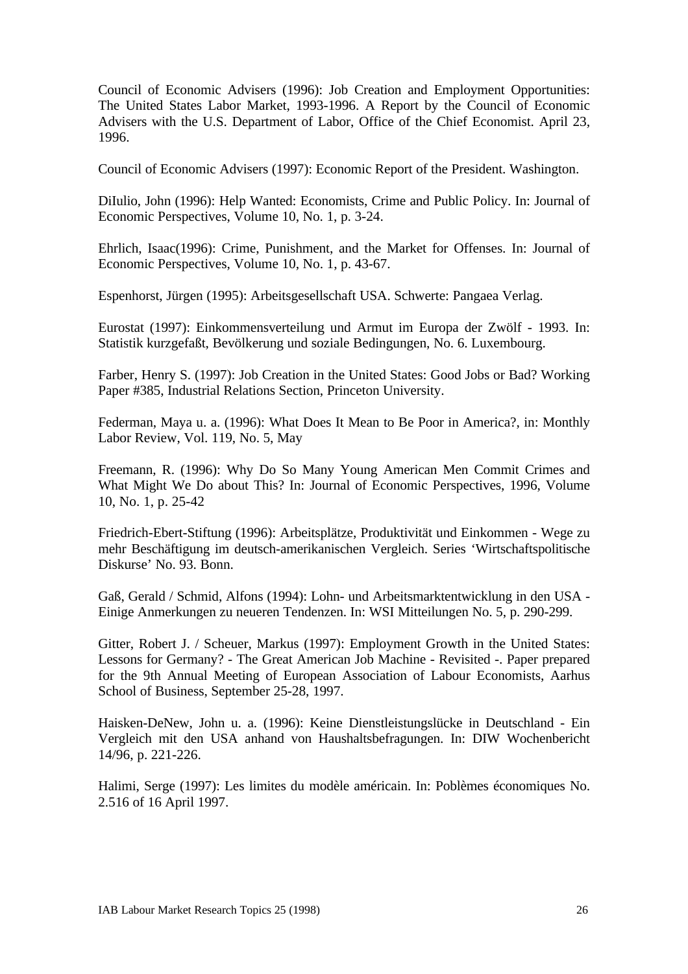Council of Economic Advisers (1996): Job Creation and Employment Opportunities: The United States Labor Market, 1993-1996. A Report by the Council of Economic Advisers with the U.S. Department of Labor, Office of the Chief Economist. April 23, 1996.

Council of Economic Advisers (1997): Economic Report of the President. Washington.

DiIulio, John (1996): Help Wanted: Economists, Crime and Public Policy. In: Journal of Economic Perspectives, Volume 10, No. 1, p. 3-24.

Ehrlich, Isaac(1996): Crime, Punishment, and the Market for Offenses. In: Journal of Economic Perspectives, Volume 10, No. 1, p. 43-67.

Espenhorst, Jürgen (1995): Arbeitsgesellschaft USA. Schwerte: Pangaea Verlag.

Eurostat (1997): Einkommensverteilung und Armut im Europa der Zwölf - 1993. In: Statistik kurzgefaßt, Bevölkerung und soziale Bedingungen, No. 6. Luxembourg.

Farber, Henry S. (1997): Job Creation in the United States: Good Jobs or Bad? Working Paper #385, Industrial Relations Section, Princeton University.

Federman, Maya u. a. (1996): What Does It Mean to Be Poor in America?, in: Monthly Labor Review, Vol. 119, No. 5, May

Freemann, R. (1996): Why Do So Many Young American Men Commit Crimes and What Might We Do about This? In: Journal of Economic Perspectives, 1996, Volume 10, No. 1, p. 25-42

Friedrich-Ebert-Stiftung (1996): Arbeitsplätze, Produktivität und Einkommen - Wege zu mehr Beschäftigung im deutsch-amerikanischen Vergleich. Series 'Wirtschaftspolitische Diskurse' No. 93. Bonn.

Gaß, Gerald / Schmid, Alfons (1994): Lohn- und Arbeitsmarktentwicklung in den USA - Einige Anmerkungen zu neueren Tendenzen. In: WSI Mitteilungen No. 5, p. 290-299.

Gitter, Robert J. / Scheuer, Markus (1997): Employment Growth in the United States: Lessons for Germany? - The Great American Job Machine - Revisited -. Paper prepared for the 9th Annual Meeting of European Association of Labour Economists, Aarhus School of Business, September 25-28, 1997.

Haisken-DeNew, John u. a. (1996): Keine Dienstleistungslücke in Deutschland - Ein Vergleich mit den USA anhand von Haushaltsbefragungen. In: DIW Wochenbericht 14/96, p. 221-226.

Halimi, Serge (1997): Les limites du modèle américain. In: Poblèmes économiques No. 2.516 of 16 April 1997.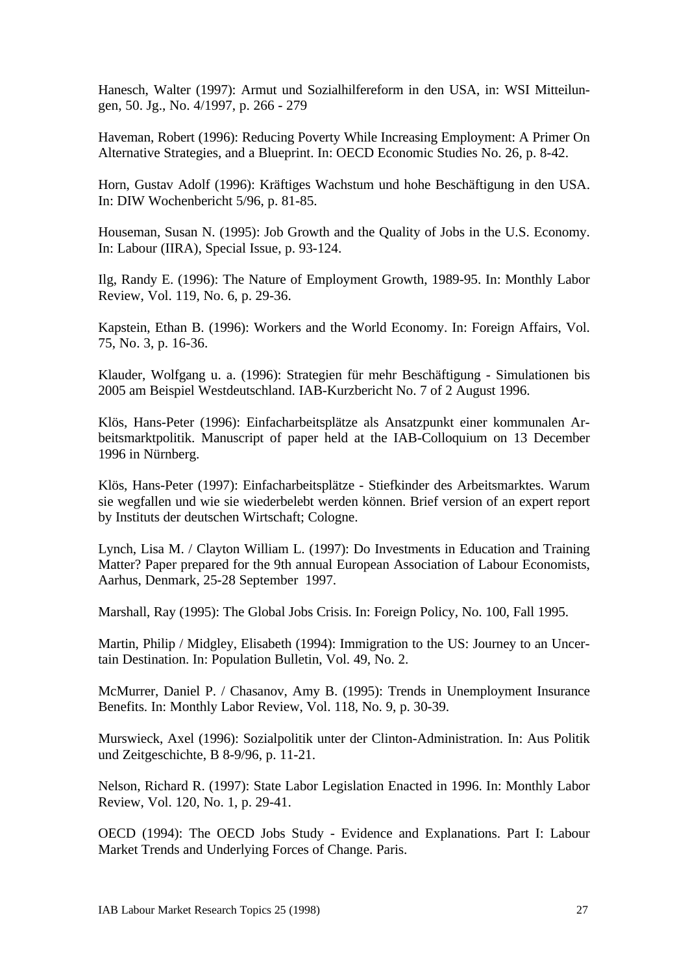Hanesch, Walter (1997): Armut und Sozialhilfereform in den USA, in: WSI Mitteilungen, 50. Jg., No. 4/1997, p. 266 - 279

Haveman, Robert (1996): Reducing Poverty While Increasing Employment: A Primer On Alternative Strategies, and a Blueprint. In: OECD Economic Studies No. 26, p. 8-42.

Horn, Gustav Adolf (1996): Kräftiges Wachstum und hohe Beschäftigung in den USA. In: DIW Wochenbericht 5/96, p. 81-85.

Houseman, Susan N. (1995): Job Growth and the Quality of Jobs in the U.S. Economy. In: Labour (IIRA), Special Issue, p. 93-124.

Ilg, Randy E. (1996): The Nature of Employment Growth, 1989-95. In: Monthly Labor Review, Vol. 119, No. 6, p. 29-36.

Kapstein, Ethan B. (1996): Workers and the World Economy. In: Foreign Affairs, Vol. 75, No. 3, p. 16-36.

Klauder, Wolfgang u. a. (1996): Strategien für mehr Beschäftigung - Simulationen bis 2005 am Beispiel Westdeutschland. IAB-Kurzbericht No. 7 of 2 August 1996.

Klös, Hans-Peter (1996): Einfacharbeitsplätze als Ansatzpunkt einer kommunalen Arbeitsmarktpolitik. Manuscript of paper held at the IAB-Colloquium on 13 December 1996 in Nürnberg.

Klös, Hans-Peter (1997): Einfacharbeitsplätze - Stiefkinder des Arbeitsmarktes. Warum sie wegfallen und wie sie wiederbelebt werden können. Brief version of an expert report by Instituts der deutschen Wirtschaft; Cologne.

Lynch, Lisa M. / Clayton William L. (1997): Do Investments in Education and Training Matter? Paper prepared for the 9th annual European Association of Labour Economists, Aarhus, Denmark, 25-28 September 1997.

Marshall, Ray (1995): The Global Jobs Crisis. In: Foreign Policy, No. 100, Fall 1995.

Martin, Philip / Midgley, Elisabeth (1994): Immigration to the US: Journey to an Uncertain Destination. In: Population Bulletin, Vol. 49, No. 2.

McMurrer, Daniel P. / Chasanov, Amy B. (1995): Trends in Unemployment Insurance Benefits. In: Monthly Labor Review, Vol. 118, No. 9, p. 30-39.

Murswieck, Axel (1996): Sozialpolitik unter der Clinton-Administration. In: Aus Politik und Zeitgeschichte, B 8-9/96, p. 11-21.

Nelson, Richard R. (1997): State Labor Legislation Enacted in 1996. In: Monthly Labor Review, Vol. 120, No. 1, p. 29-41.

OECD (1994): The OECD Jobs Study - Evidence and Explanations. Part I: Labour Market Trends and Underlying Forces of Change. Paris.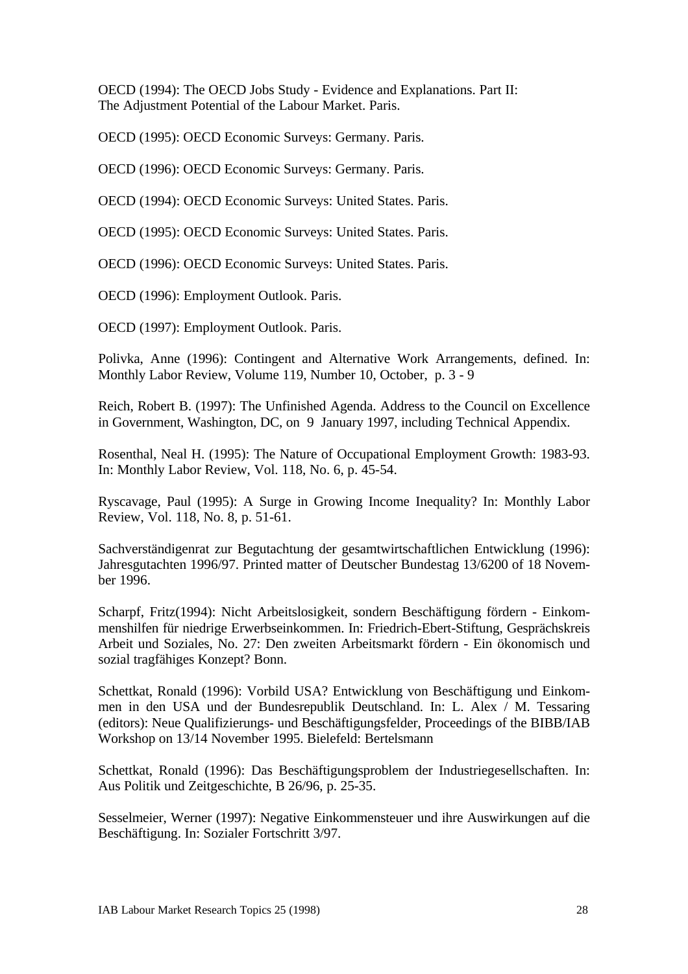OECD (1994): The OECD Jobs Study - Evidence and Explanations. Part II: The Adjustment Potential of the Labour Market. Paris.

OECD (1995): OECD Economic Surveys: Germany. Paris.

OECD (1996): OECD Economic Surveys: Germany. Paris.

OECD (1994): OECD Economic Surveys: United States. Paris.

OECD (1995): OECD Economic Surveys: United States. Paris.

OECD (1996): OECD Economic Surveys: United States. Paris.

OECD (1996): Employment Outlook. Paris.

OECD (1997): Employment Outlook. Paris.

Polivka, Anne (1996): Contingent and Alternative Work Arrangements, defined. In: Monthly Labor Review, Volume 119, Number 10, October, p. 3 - 9

Reich, Robert B. (1997): The Unfinished Agenda. Address to the Council on Excellence in Government, Washington, DC, on 9 January 1997, including Technical Appendix.

Rosenthal, Neal H. (1995): The Nature of Occupational Employment Growth: 1983-93. In: Monthly Labor Review, Vol. 118, No. 6, p. 45-54.

Ryscavage, Paul (1995): A Surge in Growing Income Inequality? In: Monthly Labor Review, Vol. 118, No. 8, p. 51-61.

Sachverständigenrat zur Begutachtung der gesamtwirtschaftlichen Entwicklung (1996): Jahresgutachten 1996/97. Printed matter of Deutscher Bundestag 13/6200 of 18 November 1996.

Scharpf, Fritz(1994): Nicht Arbeitslosigkeit, sondern Beschäftigung fördern - Einkommenshilfen für niedrige Erwerbseinkommen. In: Friedrich-Ebert-Stiftung, Gesprächskreis Arbeit und Soziales, No. 27: Den zweiten Arbeitsmarkt fördern - Ein ökonomisch und sozial tragfähiges Konzept? Bonn.

Schettkat, Ronald (1996): Vorbild USA? Entwicklung von Beschäftigung und Einkommen in den USA und der Bundesrepublik Deutschland. In: L. Alex / M. Tessaring (editors): Neue Qualifizierungs- und Beschäftigungsfelder, Proceedings of the BIBB/IAB Workshop on 13/14 November 1995. Bielefeld: Bertelsmann

Schettkat, Ronald (1996): Das Beschäftigungsproblem der Industriegesellschaften. In: Aus Politik und Zeitgeschichte, B 26/96, p. 25-35.

Sesselmeier, Werner (1997): Negative Einkommensteuer und ihre Auswirkungen auf die Beschäftigung. In: Sozialer Fortschritt 3/97.